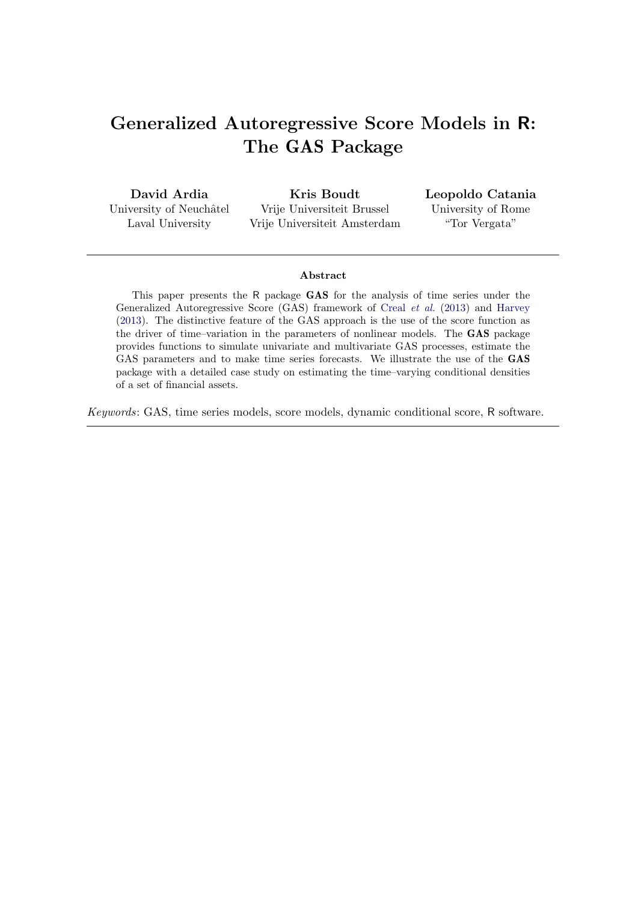# Generalized Autoregressive Score Models in R: The GAS Package

David Ardia University of Neuchâtel Laval University

Kris Boudt Vrije Universiteit Brussel Vrije Universiteit Amsterdam Leopoldo Catania University of Rome "Tor Vergata"

#### Abstract

This paper presents the R package GAS for the analysis of time series under the Generalized Autoregressive Score (GAS) framework of [Creal](#page-19-0) et al. [\(2013\)](#page-19-0) and [Harvey](#page-20-0) [\(2013\)](#page-20-0). The distinctive feature of the GAS approach is the use of the score function as the driver of time–variation in the parameters of nonlinear models. The GAS package provides functions to simulate univariate and multivariate GAS processes, estimate the GAS parameters and to make time series forecasts. We illustrate the use of the GAS package with a detailed case study on estimating the time–varying conditional densities of a set of financial assets.

Keywords: GAS, time series models, score models, dynamic conditional score, R software.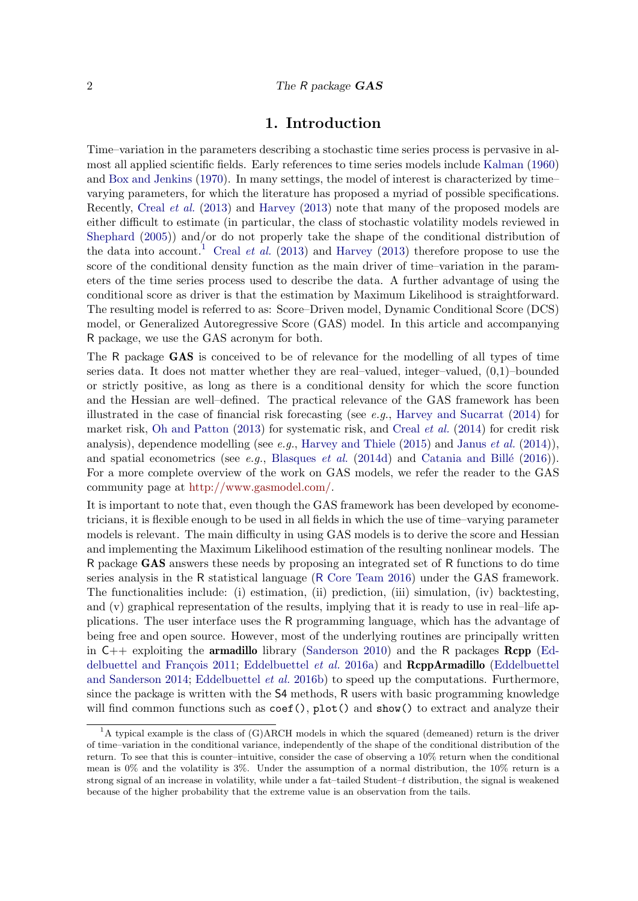### 1. Introduction

Time–variation in the parameters describing a stochastic time series process is pervasive in almost all applied scientific fields. Early references to time series models include [Kalman](#page-21-0) [\(1960\)](#page-21-0) and [Box and Jenkins](#page-19-1) [\(1970\)](#page-19-1). In many settings, the model of interest is characterized by time– varying parameters, for which the literature has proposed a myriad of possible specifications. Recently, [Creal](#page-19-0) et al. [\(2013\)](#page-19-0) and [Harvey](#page-20-0) [\(2013\)](#page-20-0) note that many of the proposed models are either difficult to estimate (in particular, the class of stochastic volatility models reviewed in [Shephard](#page-21-1) [\(2005\)](#page-21-1)) and/or do not properly take the shape of the conditional distribution of the data into account.<sup>[1](#page-1-0)</sup> [Creal](#page-19-0) *et al.* [\(2013\)](#page-20-0) and [Harvey](#page-20-0) (2013) therefore propose to use the score of the conditional density function as the main driver of time–variation in the parameters of the time series process used to describe the data. A further advantage of using the conditional score as driver is that the estimation by Maximum Likelihood is straightforward. The resulting model is referred to as: Score–Driven model, Dynamic Conditional Score (DCS) model, or Generalized Autoregressive Score (GAS) model. In this article and accompanying R package, we use the GAS acronym for both.

The R package GAS is conceived to be of relevance for the modelling of all types of time series data. It does not matter whether they are real–valued, integer–valued, (0,1)–bounded or strictly positive, as long as there is a conditional density for which the score function and the Hessian are well–defined. The practical relevance of the GAS framework has been illustrated in the case of financial risk forecasting (see e.g., [Harvey and Sucarrat](#page-20-1) [\(2014\)](#page-20-1) for market risk, [Oh and Patton](#page-21-2) [\(2013\)](#page-21-2) for systematic risk, and [Creal](#page-19-2) *et al.* [\(2014\)](#page-19-2) for credit risk analysis), dependence modelling (see e.g., [Harvey and Thiele](#page-20-2)  $(2015)$  and [Janus](#page-20-3) et al.  $(2014)$ ), and spatial econometrics (see e.g., [Blasques](#page-19-3) et al. [\(2014d\)](#page-19-3) and Catania and Billé [\(2016\)](#page-19-4)). For a more complete overview of the work on GAS models, we refer the reader to the GAS community page at [http://www.gasmodel.com/.](http://www.gasmodel.com/)

It is important to note that, even though the GAS framework has been developed by econometricians, it is flexible enough to be used in all fields in which the use of time–varying parameter models is relevant. The main difficulty in using GAS models is to derive the score and Hessian and implementing the Maximum Likelihood estimation of the resulting nonlinear models. The R package GAS answers these needs by proposing an integrated set of R functions to do time series analysis in the R statistical language (R [Core Team](#page-21-3) [2016\)](#page-21-3) under the GAS framework. The functionalities include: (i) estimation, (ii) prediction, (iii) simulation, (iv) backtesting, and (v) graphical representation of the results, implying that it is ready to use in real–life applications. The user interface uses the R programming language, which has the advantage of being free and open source. However, most of the underlying routines are principally written in  $C_{++}$  exploiting the **armadillo** library [\(Sanderson](#page-21-4) [2010\)](#page-21-4) and the R packages **Rcpp** [\(Ed-](#page-19-5)delbuettel and François [2011;](#page-19-5) [Eddelbuettel](#page-19-6) *et al.* [2016a\)](#page-19-6) and **ReppArmadillo** [\(Eddelbuettel](#page-20-4) [and Sanderson](#page-20-4) [2014;](#page-20-4) [Eddelbuettel](#page-19-7) et al. [2016b\)](#page-19-7) to speed up the computations. Furthermore, since the package is written with the S4 methods, R users with basic programming knowledge will find common functions such as  $\text{coef}()$ ,  $\text{plot}()$  and  $\text{show}(()$  to extract and analyze their

<span id="page-1-0"></span><sup>&</sup>lt;sup>1</sup>A typical example is the class of (G)ARCH models in which the squared (demeaned) return is the driver of time–variation in the conditional variance, independently of the shape of the conditional distribution of the return. To see that this is counter–intuitive, consider the case of observing a 10% return when the conditional mean is 0% and the volatility is 3%. Under the assumption of a normal distribution, the 10% return is a strong signal of an increase in volatility, while under a fat–tailed Student–t distribution, the signal is weakened because of the higher probability that the extreme value is an observation from the tails.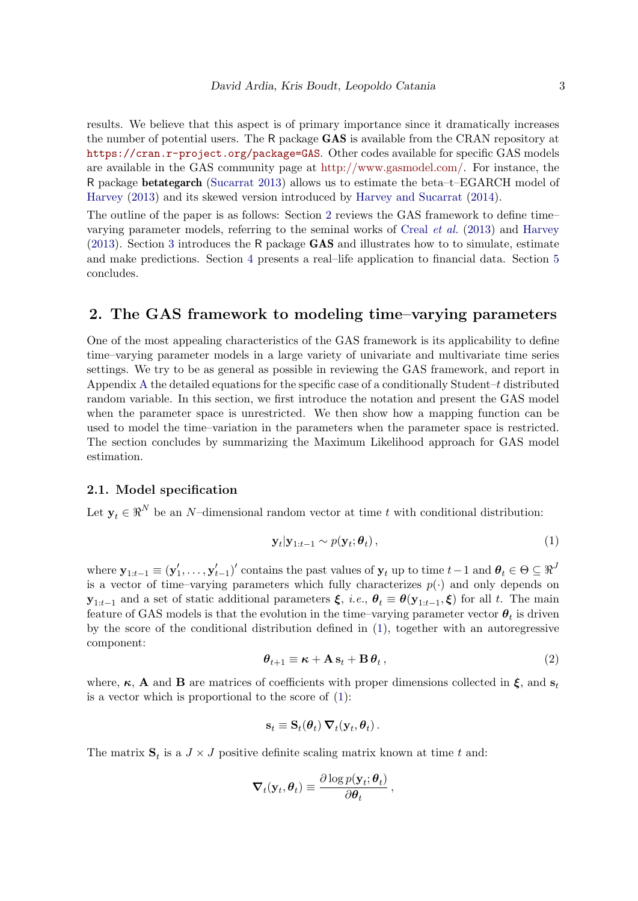results. We believe that this aspect is of primary importance since it dramatically increases the number of potential users. The R package GAS is available from the CRAN repository at <https://cran.r-project.org/package=GAS>. Other codes available for specific GAS models are available in the GAS community page at [http://www.gasmodel.com/.](http://www.gasmodel.com/) For instance, the R package betategarch [\(Sucarrat](#page-21-5) [2013\)](#page-21-5) allows us to estimate the beta–t–EGARCH model of [Harvey](#page-20-0) [\(2013\)](#page-20-0) and its skewed version introduced by [Harvey and Sucarrat](#page-20-1) [\(2014\)](#page-20-1).

The outline of the paper is as follows: Section [2](#page-2-0) reviews the GAS framework to define time– varying parameter models, referring to the seminal works of [Creal](#page-19-0) et al. [\(2013\)](#page-19-0) and [Harvey](#page-20-0) [\(2013\)](#page-20-0). Section [3](#page-5-0) introduces the R package GAS and illustrates how to to simulate, estimate and make predictions. Section [4](#page-12-0) presents a real–life application to financial data. Section [5](#page-18-0) concludes.

### <span id="page-2-0"></span>2. The GAS framework to modeling time–varying parameters

One of the most appealing characteristics of the GAS framework is its applicability to define time–varying parameter models in a large variety of univariate and multivariate time series settings. We try to be as general as possible in reviewing the GAS framework, and report in [A](#page-23-0)ppendix A the detailed equations for the specific case of a conditionally Student– $t$  distributed random variable. In this section, we first introduce the notation and present the GAS model when the parameter space is unrestricted. We then show how a mapping function can be used to model the time–variation in the parameters when the parameter space is restricted. The section concludes by summarizing the Maximum Likelihood approach for GAS model estimation.

#### 2.1. Model specification

Let  $y_t \in \mathbb{R}^N$  be an N–dimensional random vector at time t with conditional distribution:

<span id="page-2-1"></span>
$$
\mathbf{y}_t|\mathbf{y}_{1:t-1} \sim p(\mathbf{y}_t; \boldsymbol{\theta}_t), \qquad (1)
$$

where  $\mathbf{y}_{1:t-1} \equiv (\mathbf{y}'_1, \dots, \mathbf{y}'_{t-1})'$  contains the past values of  $\mathbf{y}_t$  up to time  $t-1$  and  $\boldsymbol{\theta}_t \in \Theta \subseteq \Re^J$ is a vector of time–varying parameters which fully characterizes  $p(\cdot)$  and only depends on  $\mathbf{y}_{1:t-1}$  and a set of static additional parameters  $\xi$ , *i.e.*,  $\theta_t \equiv \theta(\mathbf{y}_{1:t-1}, \xi)$  for all t. The main feature of GAS models is that the evolution in the time–varying parameter vector  $\boldsymbol{\theta}_t$  is driven by the score of the conditional distribution defined in [\(1\)](#page-2-1), together with an autoregressive component:

$$
\boldsymbol{\theta}_{t+1} \equiv \boldsymbol{\kappa} + \mathbf{A} \, \mathbf{s}_t + \mathbf{B} \, \boldsymbol{\theta}_t \,, \tag{2}
$$

<span id="page-2-2"></span>where,  $\kappa$ , **A** and **B** are matrices of coefficients with proper dimensions collected in  $\xi$ , and  $s_t$ is a vector which is proportional to the score of  $(1)$ :

$$
\mathbf{s}_t \equiv \mathbf{S}_t(\boldsymbol{\theta}_t) \, \boldsymbol{\nabla}_t(\mathbf{y}_t, \boldsymbol{\theta}_t) \, .
$$

The matrix  $S_t$  is a  $J \times J$  positive definite scaling matrix known at time t and:

$$
\nabla_t(\mathbf{y}_t, \boldsymbol{\theta}_t) \equiv \frac{\partial \log p(\mathbf{y}_t; \boldsymbol{\theta}_t)}{\partial \boldsymbol{\theta}_t},
$$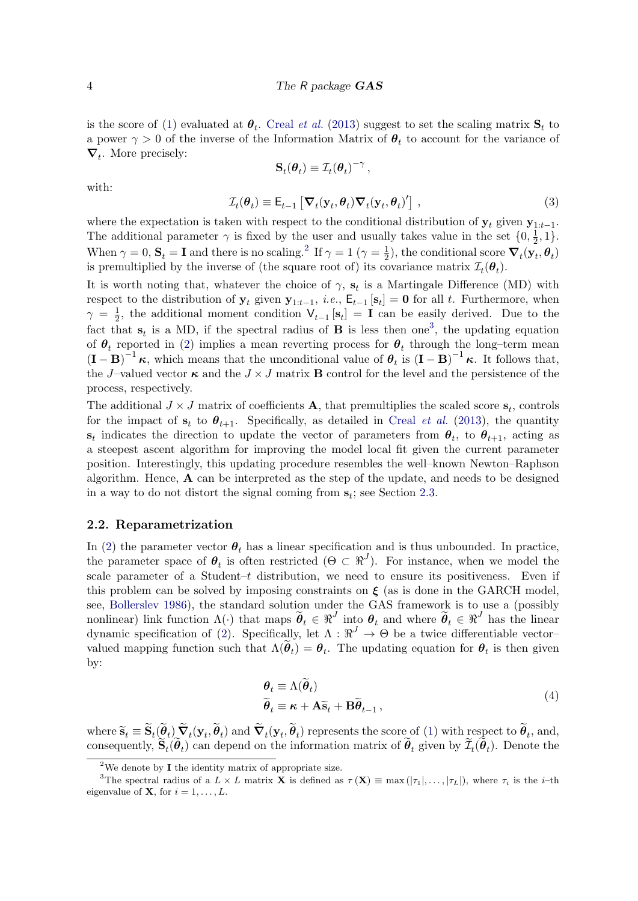is the score of [\(1\)](#page-2-1) evaluated at  $\theta_t$ . [Creal](#page-19-0) *et al.* [\(2013\)](#page-19-0) suggest to set the scaling matrix  $\mathbf{S}_t$  to a power  $\gamma > 0$  of the inverse of the Information Matrix of  $\theta_t$  to account for the variance of  $\nabla_t$ . More precisely:

$$
\mathbf{S}_{t}(\theta_{t}) \equiv \mathcal{I}_{t}(\theta_{t})^{-\gamma},
$$
  

$$
\mathcal{I}_{t}(\theta_{t}) \equiv \mathsf{E}_{t-1} \left[ \nabla_{t}(\mathbf{y}_{t}, \theta_{t}) \nabla_{t}(\mathbf{y}_{t}, \theta_{t})' \right],
$$
 (3)

<span id="page-3-3"></span>with:

where the expectation is taken with respect to the conditional distribution of  $y_t$  given  $y_{1:t-1}$ . The additional parameter  $\gamma$  is fixed by the user and usually takes value in the set  $\{0, \frac{1}{2}\}$  $\frac{1}{2}, 1$ . When  $\gamma = 0$ ,  $S_t = I$  and there is no scaling.<sup>[2](#page-3-0)</sup> If  $\gamma = 1$  ( $\gamma = \frac{1}{2}$ )  $\frac{1}{2}$ , the conditional score  $\boldsymbol{\nabla}_t(\mathbf{y}_t, \boldsymbol{\theta}_t)$ is premultiplied by the inverse of (the square root of) its covariance matrix  $\mathcal{I}_t(\theta_t)$ .

It is worth noting that, whatever the choice of  $\gamma$ ,  $\mathbf{s}_t$  is a Martingale Difference (MD) with respect to the distribution of  $y_t$  given  $y_{1:t-1}$ , *i.e.*,  $E_{t-1}[s_t] = 0$  for all t. Furthermore, when  $\gamma = \frac{1}{2}$  $\frac{1}{2}$ , the additional moment condition  $V_{t-1}$  [s<sub>t</sub>] = **I** can be easily derived. Due to the fact that  $s_t$  is a MD, if the spectral radius of **B** is less then one<sup>[3](#page-3-1)</sup>, the updating equation of  $\theta_t$  reported in [\(2\)](#page-2-2) implies a mean reverting process for  $\theta_t$  through the long-term mean  $(\mathbf{I} - \mathbf{B})^{-1} \kappa$ , which means that the unconditional value of  $\theta_t$  is  $(\mathbf{I} - \mathbf{B})^{-1} \kappa$ . It follows that, the J–valued vector  $\kappa$  and the  $J \times J$  matrix **B** control for the level and the persistence of the process, respectively.

The additional  $J \times J$  matrix of coefficients **A**, that premultiplies the scaled score  $s_t$ , controls for the impact of  $s_t$  to  $\theta_{t+1}$ . Specifically, as detailed in [Creal](#page-19-0) *et al.* [\(2013\)](#page-19-0), the quantity  $\mathbf{s}_t$  indicates the direction to update the vector of parameters from  $\theta_t$ , to  $\theta_{t+1}$ , acting as a steepest ascent algorithm for improving the model local fit given the current parameter position. Interestingly, this updating procedure resembles the well–known Newton–Raphson algorithm. Hence, A can be interpreted as the step of the update, and needs to be designed in a way to do not distort the signal coming from  $s_t$ ; see Section [2.3.](#page-4-0)

#### 2.2. Reparametrization

In [\(2\)](#page-2-2) the parameter vector  $\theta_t$  has a linear specification and is thus unbounded. In practice, the parameter space of  $\theta_t$  is often restricted  $(\Theta \subset \mathbb{R}^J)$ . For instance, when we model the scale parameter of a Student–t distribution, we need to ensure its positiveness. Even if this problem can be solved by imposing constraints on  $\xi$  (as is done in the GARCH model, see, [Bollerslev](#page-19-8) [1986\)](#page-19-8), the standard solution under the GAS framework is to use a (possibly nonlinear) link function  $\Lambda(\cdot)$  that maps  $\widetilde{\theta}_t \in \mathbb{R}^J$  into  $\theta_t$  and where  $\widetilde{\theta}_t \in \mathbb{R}^J$  has the linear dynamic specification of [\(2\)](#page-2-2). Specifically, let  $\Lambda : \mathbb{R}^J \to \Theta$  be a twice differentiable vectorvalued mapping function such that  $\Lambda(\theta_t) = \theta_t$ . The updating equation for  $\theta_t$  is then given by:

<span id="page-3-2"></span>
$$
\begin{aligned} \boldsymbol{\theta}_t &\equiv \Lambda(\boldsymbol{\theta}_t) \\ \widetilde{\boldsymbol{\theta}}_t &\equiv \boldsymbol{\kappa} + \mathbf{A} \widetilde{\mathbf{s}}_t + \mathbf{B} \widetilde{\boldsymbol{\theta}}_{t-1} \,, \end{aligned} \tag{4}
$$

where  $\tilde{s}_t \equiv \mathbf{S}_t(\theta_t) \nabla_t(\mathbf{y}_t, \theta_t)$  and  $\nabla_t(\mathbf{y}_t, \theta_t)$  represents the score of [\(1\)](#page-2-1) with respect to  $\theta_t$ , and, consequently,  $\mathbf{S}_t(\theta_t)$  can depend on the information matrix of  $\theta_t$  given by  $\mathcal{I}_t(\theta_t)$ . Denote the

<span id="page-3-1"></span><span id="page-3-0"></span><sup>&</sup>lt;sup>2</sup>We denote by **I** the identity matrix of appropriate size.

<sup>&</sup>lt;sup>3</sup>The spectral radius of a  $L \times L$  matrix **X** is defined as  $\tau(\mathbf{X}) \equiv \max(|\tau_1|, \ldots, |\tau_L|)$ , where  $\tau_i$  is the *i*-th eigenvalue of **X**, for  $i = 1, \ldots, L$ .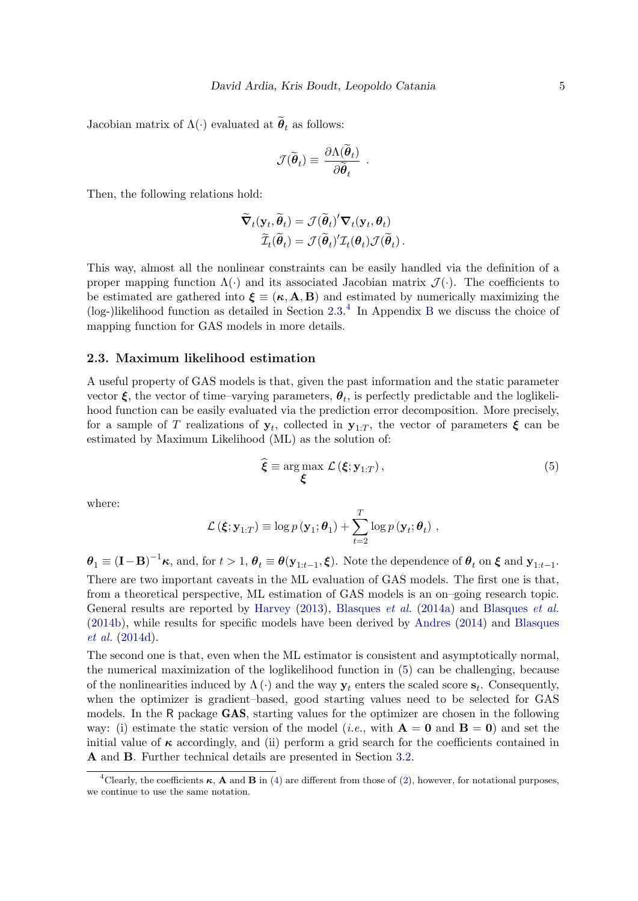Jacobian matrix of  $\Lambda(\cdot)$  evaluated at  $\theta_t$  as follows:

$$
\mathcal{J}(\widetilde{\boldsymbol{\theta}}_t) \equiv \frac{\partial \Lambda(\boldsymbol{\theta}_t)}{\partial \widetilde{\boldsymbol{\theta}}_t} .
$$

Then, the following relations hold:

$$
\widetilde{\nabla}_t(\mathbf{y}_t, \widetilde{\boldsymbol{\theta}}_t) = \mathcal{J}(\widetilde{\boldsymbol{\theta}}_t)'\nabla_t(\mathbf{y}_t, \boldsymbol{\theta}_t) \widetilde{\mathcal{I}}_t(\widetilde{\boldsymbol{\theta}}_t) = \mathcal{J}(\widetilde{\boldsymbol{\theta}}_t)'\mathcal{I}_t(\boldsymbol{\theta}_t)\mathcal{J}(\widetilde{\boldsymbol{\theta}}_t).
$$

This way, almost all the nonlinear constraints can be easily handled via the definition of a proper mapping function  $\Lambda(\cdot)$  and its associated Jacobian matrix  $\mathcal{J}(\cdot)$ . The coefficients to be estimated are gathered into  $\boldsymbol{\xi} \equiv (\boldsymbol{\kappa}, \mathbf{A}, \mathbf{B})$  and estimated by numerically maximizing the (log-)likelihood function as detailed in Section [2.3.](#page-4-0) [4](#page-4-1) In Appendix [B](#page-24-0) we discuss the choice of mapping function for GAS models in more details.

#### <span id="page-4-0"></span>2.3. Maximum likelihood estimation

A useful property of GAS models is that, given the past information and the static parameter vector  $\xi$ , the vector of time-varying parameters,  $\theta_t$ , is perfectly predictable and the loglikelihood function can be easily evaluated via the prediction error decomposition. More precisely, for a sample of T realizations of  $y_t$ , collected in  $y_{1:T}$ , the vector of parameters  $\xi$  can be estimated by Maximum Likelihood (ML) as the solution of:

<span id="page-4-2"></span>
$$
\widehat{\boldsymbol{\xi}} \equiv \arg \max_{\boldsymbol{\xi}} \mathcal{L}(\boldsymbol{\xi}; \mathbf{y}_{1:T}), \tag{5}
$$

where:

$$
\mathcal{L}(\boldsymbol{\xi}; \mathbf{y}_{1:T}) \equiv \log p(\mathbf{y}_1; \boldsymbol{\theta}_1) + \sum_{t=2}^T \log p(\mathbf{y}_t; \boldsymbol{\theta}_t) ,
$$

 $\boldsymbol{\theta}_1 \equiv (\mathbf{I} - \mathbf{B})^{-1} \boldsymbol{\kappa}$ , and, for  $t > 1$ ,  $\boldsymbol{\theta}_t \equiv \boldsymbol{\theta}(\mathbf{y}_{1:t-1}, \boldsymbol{\xi})$ . Note the dependence of  $\boldsymbol{\theta}_t$  on  $\boldsymbol{\xi}$  and  $\mathbf{y}_{1:t-1}$ . There are two important caveats in the ML evaluation of GAS models. The first one is that, from a theoretical perspective, ML estimation of GAS models is an on–going research topic. General results are reported by [Harvey](#page-20-0) [\(2013\)](#page-20-0), [Blasques](#page-19-9) et al. [\(2014a\)](#page-19-9) and [Blasques](#page-19-10) et al. [\(2014b\)](#page-19-10), while results for specific models have been derived by [Andres](#page-18-1) [\(2014\)](#page-18-1) and [Blasques](#page-19-3) [et al.](#page-19-3) [\(2014d\)](#page-19-3).

The second one is that, even when the ML estimator is consistent and asymptotically normal, the numerical maximization of the loglikelihood function in [\(5\)](#page-4-2) can be challenging, because of the nonlinearities induced by  $\Lambda(\cdot)$  and the way  $y_t$  enters the scaled score  $s_t$ . Consequently, when the optimizer is gradient–based, good starting values need to be selected for GAS models. In the R package GAS, starting values for the optimizer are chosen in the following way: (i) estimate the static version of the model (*i.e.*, with  $\mathbf{A} = \mathbf{0}$  and  $\mathbf{B} = \mathbf{0}$ ) and set the initial value of  $\kappa$  accordingly, and (ii) perform a grid search for the coefficients contained in A and B. Further technical details are presented in Section [3.2.](#page-8-0)

<span id="page-4-1"></span><sup>&</sup>lt;sup>4</sup>Clearly, the coefficients  $\kappa$ , **A** and **B** in [\(4\)](#page-3-2) are different from those of [\(2\)](#page-2-2), however, for notational purposes, we continue to use the same notation.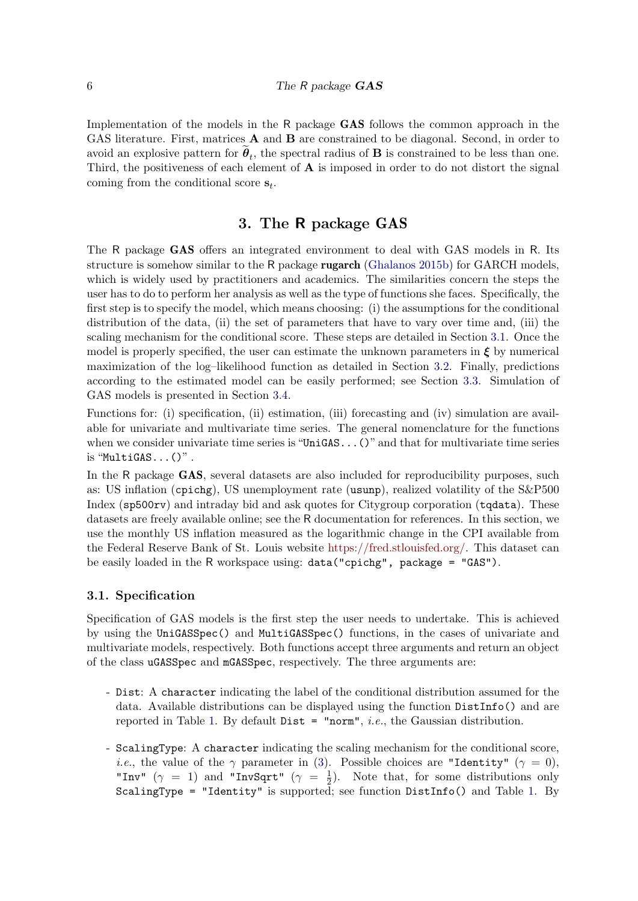Implementation of the models in the R package GAS follows the common approach in the GAS literature. First, matrices **A** and **B** are constrained to be diagonal. Second, in order to avoid an explosive pattern for  $\theta_t$ , the spectral radius of **B** is constrained to be less than one. Third, the positiveness of each element of  $A$  is imposed in order to do not distort the signal coming from the conditional score  $s_t$ .

# 3. The R package GAS

<span id="page-5-0"></span>The R package GAS offers an integrated environment to deal with GAS models in R. Its structure is somehow similar to the R package rugarch [\(Ghalanos](#page-20-5) [2015b\)](#page-20-5) for GARCH models, which is widely used by practitioners and academics. The similarities concern the steps the user has to do to perform her analysis as well as the type of functions she faces. Specifically, the first step is to specify the model, which means choosing: (i) the assumptions for the conditional distribution of the data, (ii) the set of parameters that have to vary over time and, (iii) the scaling mechanism for the conditional score. These steps are detailed in Section [3.1.](#page-5-1) Once the model is properly specified, the user can estimate the unknown parameters in  $\xi$  by numerical maximization of the log–likelihood function as detailed in Section [3.2.](#page-8-0) Finally, predictions according to the estimated model can be easily performed; see Section [3.3.](#page-9-0) Simulation of GAS models is presented in Section [3.4.](#page-11-0)

Functions for: (i) specification, (ii) estimation, (iii) forecasting and (iv) simulation are available for univariate and multivariate time series. The general nomenclature for the functions when we consider univariate time series is "UniGAS...()" and that for multivariate time series is "MultiGAS...()" .

In the R package GAS, several datasets are also included for reproducibility purposes, such as: US inflation (cpichg), US unemployment rate (usunp), realized volatility of the S&P500 Index (sp500rv) and intraday bid and ask quotes for Citygroup corporation (tqdata). These datasets are freely available online; see the R documentation for references. In this section, we use the monthly US inflation measured as the logarithmic change in the CPI available from the Federal Reserve Bank of St. Louis website [https://fred.stlouisfed.org/.](https://fred.stlouisfed.org/) This dataset can be easily loaded in the R workspace using: data("cpichg", package = "GAS").

#### <span id="page-5-1"></span>3.1. Specification

Specification of GAS models is the first step the user needs to undertake. This is achieved by using the UniGASSpec() and MultiGASSpec() functions, in the cases of univariate and multivariate models, respectively. Both functions accept three arguments and return an object of the class uGASSpec and mGASSpec, respectively. The three arguments are:

- Dist: A character indicating the label of the conditional distribution assumed for the data. Available distributions can be displayed using the function DistInfo() and are reported in Table [1.](#page-6-0) By default  $Dist = "norm", i.e.,$  the Gaussian distribution.
- ScalingType: A character indicating the scaling mechanism for the conditional score, *i.e.*, the value of the  $\gamma$  parameter in [\(3\)](#page-3-3). Possible choices are "Identity" ( $\gamma = 0$ ), "Inv"  $(\gamma = 1)$  and "InvSqrt"  $(\gamma = \frac{1}{2})$  $\frac{1}{2}$ ). Note that, for some distributions only ScalingType = "Identity" is supported; see function DistInfo() and Table [1.](#page-6-0) By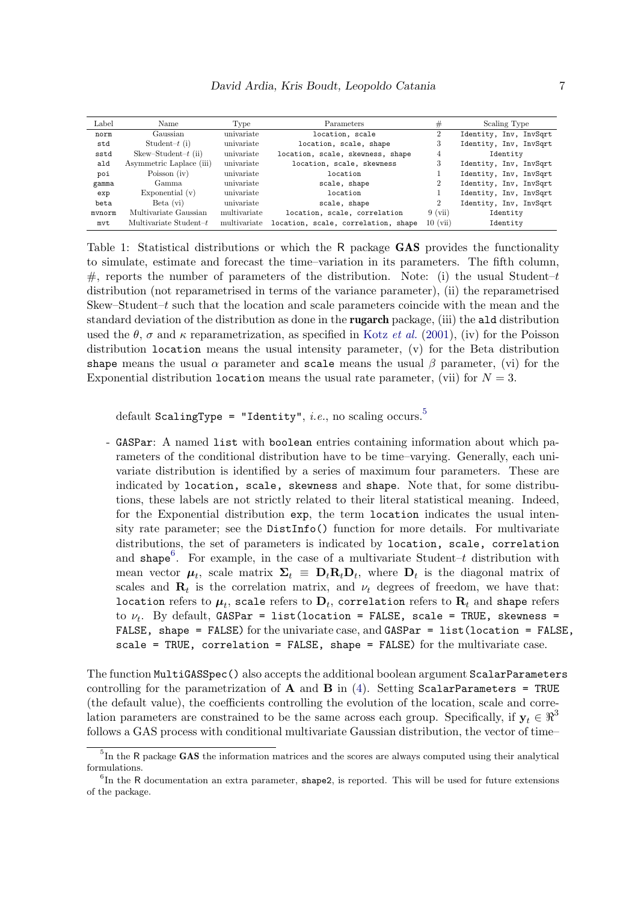<span id="page-6-0"></span>

| Label  | Name                      | Type         | Parameters                          | #              | Scaling Type           |  |
|--------|---------------------------|--------------|-------------------------------------|----------------|------------------------|--|
| norm   | Gaussian                  | univariate   | location, scale                     | $\overline{2}$ | Identity, Inv, InvSqrt |  |
| std    | Student- $t(i)$           | univariate   | location, scale, shape              | 3              | Identity, Inv, InvSqrt |  |
| sstd   | $Skew-Student-t$ (ii)     | univariate   | location, scale, skewness, shape    | 4              | Identity               |  |
| ald    | Asymmetric Laplace (iii)  | univariate   | location, scale, skewness           | 3              | Identity, Inv, InvSqrt |  |
| poi    | Poisson (iv)              | univariate   | location                            |                | Identity, Inv, InvSqrt |  |
| gamma  | Gamma                     | univariate   | scale, shape                        | $\overline{2}$ | Identity, Inv, InvSqrt |  |
| exp    | Exponential $(v)$         | univariate   | location                            |                | Identity, Inv, InvSqrt |  |
| beta   | Beta (vi)                 | univariate   | scale, shape                        | $\overline{2}$ | Identity, Inv, InvSqrt |  |
| mvnorm | Multivariate Gaussian     | multivariate | location, scale, correlation        | $9 \ (vii)$    | Identity               |  |
| mvt    | Multivariate Student- $t$ | multivariate | location, scale, correlation, shape | 10(i)          | Identity               |  |

Table 1: Statistical distributions or which the R package **GAS** provides the functionality to simulate, estimate and forecast the time–variation in its parameters. The fifth column, #, reports the number of parameters of the distribution. Note: (i) the usual Student–t distribution (not reparametrised in terms of the variance parameter), (ii) the reparametrised Skew–Student–t such that the location and scale parameters coincide with the mean and the standard deviation of the distribution as done in the rugarch package, (iii) the ald distribution used the  $\theta$ ,  $\sigma$  and  $\kappa$  reparametrization, as specified in Kotz *[et al.](#page-21-6)* [\(2001\)](#page-21-6), (iv) for the Poisson distribution location means the usual intensity parameter, (v) for the Beta distribution shape means the usual  $\alpha$  parameter and scale means the usual  $\beta$  parameter, (vi) for the Exponential distribution location means the usual rate parameter, (vii) for  $N = 3$ .

default ScalingType = "Identity", *i.e.*, no scaling occurs.<sup>[5](#page-6-1)</sup>

- GASPar: A named list with boolean entries containing information about which parameters of the conditional distribution have to be time–varying. Generally, each univariate distribution is identified by a series of maximum four parameters. These are indicated by location, scale, skewness and shape. Note that, for some distributions, these labels are not strictly related to their literal statistical meaning. Indeed, for the Exponential distribution exp, the term location indicates the usual intensity rate parameter; see the DistInfo() function for more details. For multivariate distributions, the set of parameters is indicated by location, scale, correlation and shape<sup>[6](#page-6-2)</sup>. For example, in the case of a multivariate Student–t distribution with mean vector  $\mu_t$ , scale matrix  $\Sigma_t \equiv D_t R_t D_t$ , where  $D_t$  is the diagonal matrix of scales and  $\mathbf{R}_t$  is the correlation matrix, and  $\nu_t$  degrees of freedom, we have that: location refers to  $\boldsymbol{\mu}_t$ , scale refers to  $\mathbf{D}_t$ , correlation refers to  $\mathbf{R}_t$  and shape refers to  $\nu_t$ . By default, GASPar = list(location = FALSE, scale = TRUE, skewness = FALSE, shape = FALSE) for the univariate case, and GASPar = list(location = FALSE, scale = TRUE, correlation = FALSE, shape = FALSE) for the multivariate case.

The function MultiGASSpec() also accepts the additional boolean argument ScalarParameters controlling for the parametrization of  $\bf{A}$  and  $\bf{B}$  in [\(4\)](#page-3-2). Setting ScalarParameters = TRUE (the default value), the coefficients controlling the evolution of the location, scale and correlation parameters are constrained to be the same across each group. Specifically, if  $y_t \in \mathbb{R}^3$ follows a GAS process with conditional multivariate Gaussian distribution, the vector of time–

<span id="page-6-1"></span> ${}^{5}$ In the R package GAS the information matrices and the scores are always computed using their analytical formulations.

<span id="page-6-2"></span> ${}^{6}$ In the R documentation an extra parameter, shape2, is reported. This will be used for future extensions of the package.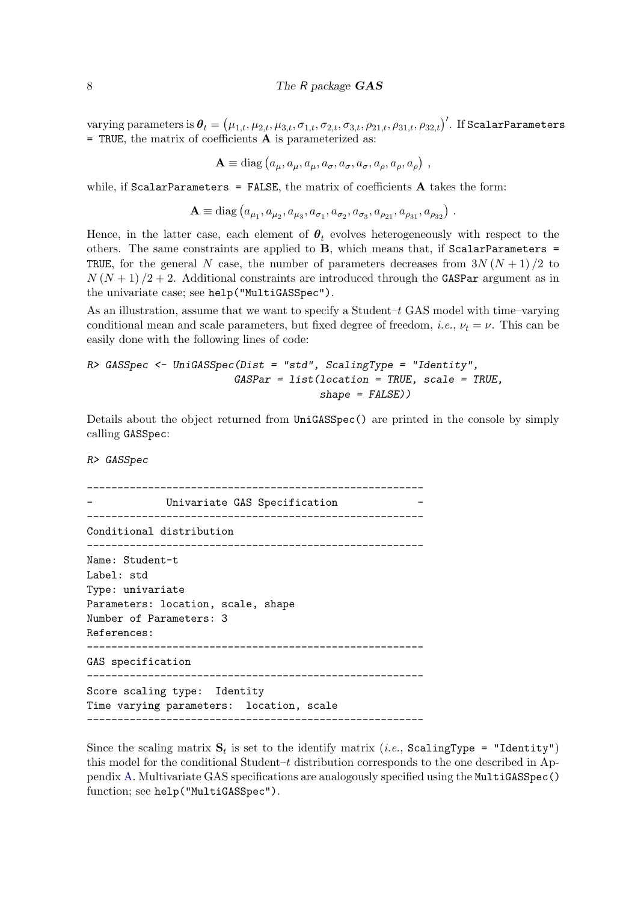varying parameters is  $\bm{\theta}_t=\left(\mu_{1,t},\mu_{2,t},\mu_{3,t},\sigma_{1,t},\sigma_{2,t},\sigma_{3,t},\rho_{21,t},\rho_{31,t},\rho_{32,t}\right)'$ . If ScalarParameters  $=$  TRUE, the matrix of coefficients  $\bf{A}$  is parameterized as:

$$
\mathbf{A} \equiv \text{diag}\left(a_{\mu}, a_{\mu}, a_{\mu}, a_{\sigma}, a_{\sigma}, a_{\sigma}, a_{\rho}, a_{\rho}, a_{\rho}\right) ,
$$

while, if  $ScalarParameters = FALSE$ , the matrix of coefficients  $A$  takes the form:

 $\mathbf{A} \equiv \text{diag}\left(a_{\mu_1}, a_{\mu_2}, a_{\mu_3}, a_{\sigma_1}, a_{\sigma_2}, a_{\sigma_3}, a_{\rho_{21}}, a_{\rho_{31}}, a_{\rho_{32}}\right)$ .

Hence, in the latter case, each element of  $\theta_t$  evolves heterogeneously with respect to the others. The same constraints are applied to  $B$ , which means that, if ScalarParameters = TRUE, for the general N case, the number of parameters decreases from  $3N(N+1)/2$  to  $N(N+1)/2+2$ . Additional constraints are introduced through the GASPar argument as in the univariate case; see help("MultiGASSpec").

As an illustration, assume that we want to specify a Student– $t$  GAS model with time–varying conditional mean and scale parameters, but fixed degree of freedom, *i.e.*,  $\nu_t = \nu$ . This can be easily done with the following lines of code:

```
R> GASSpec <- UniGASSpec(Dist = "std", ScalingType = "Identity",
                        GASPar = list(location = TRUE, scale = TRUE,
                                      shape = FALSE))
```
Details about the object returned from UniGASSpec() are printed in the console by simply calling GASSpec:

R> GASSpec

```
-------------------------------------------------------
            Univariate GAS Specification
    -------------------------------------------------------
Conditional distribution
-------------------------------------------------------
Name: Student-t
Label: std
Type: univariate
Parameters: location, scale, shape
Number of Parameters: 3
References:
-------------------------------------------------------
GAS specification
-------------------------------------------------------
Score scaling type: Identity
Time varying parameters: location, scale
-------------------------------------------------------
```
Since the scaling matrix  $\mathbf{S}_t$  is set to the identify matrix (*i.e.*, ScalingType = "Identity") this model for the conditional Student–t distribution corresponds to the one described in Appendix [A.](#page-23-0) Multivariate GAS specifications are analogously specified using the MultiGASSpec() function; see help("MultiGASSpec").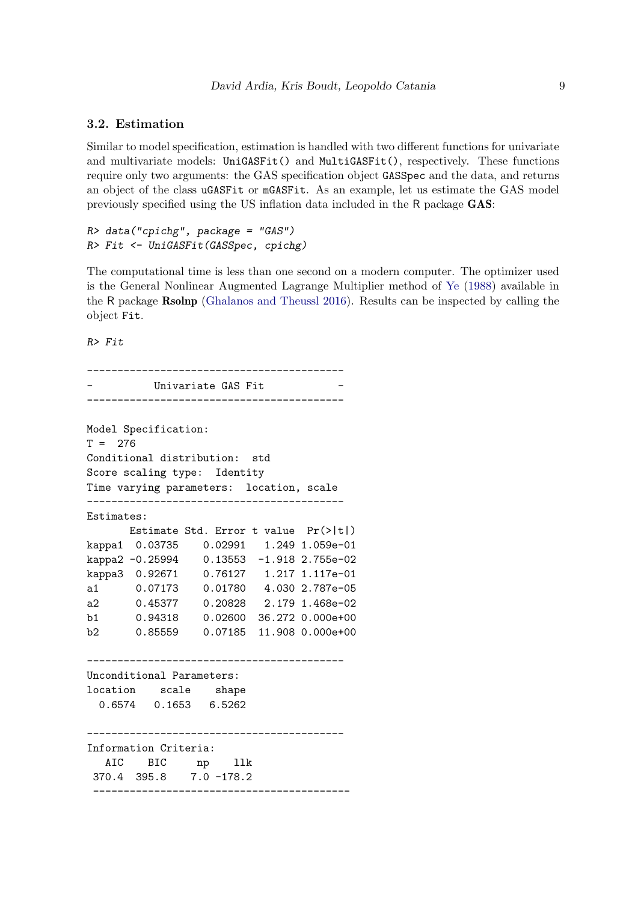#### <span id="page-8-0"></span>3.2. Estimation

Similar to model specification, estimation is handled with two different functions for univariate and multivariate models: UniGASFit() and MultiGASFit(), respectively. These functions require only two arguments: the GAS specification object GASSpec and the data, and returns an object of the class uGASFit or mGASFit. As an example, let us estimate the GAS model previously specified using the US inflation data included in the R package GAS:

 $R$ > data("cpichg", package = "GAS") R> Fit <- UniGASFit(GASSpec, cpichg)

The computational time is less than one second on a modern computer. The optimizer used is the General Nonlinear Augmented Lagrange Multiplier method of [Ye](#page-21-7) [\(1988\)](#page-21-7) available in the R package Rsolnp [\(Ghalanos and Theussl](#page-20-6) [2016\)](#page-20-6). Results can be inspected by calling the object Fit.

R> Fit

------------------------------------------ Univariate GAS Fit ------------------------------------------ Model Specification:  $T = 276$ Conditional distribution: std Score scaling type: Identity Time varying parameters: location, scale ------------------------------------------ Estimates: Estimate Std. Error t value Pr(>|t|) kappa1 0.03735 0.02991 1.249 1.059e-01 kappa2 -0.25994 0.13553 -1.918 2.755e-02 kappa3 0.92671 0.76127 1.217 1.117e-01 a1 0.07173 0.01780 4.030 2.787e-05 a2 0.45377 0.20828 2.179 1.468e-02 b1 0.94318 0.02600 36.272 0.000e+00 b2 0.85559 0.07185 11.908 0.000e+00 ------------------------------------------ Unconditional Parameters: location scale shape 0.6574 0.1653 6.5262 ------------------------------------------ Information Criteria: AIC BIC np llk 370.4 395.8 7.0 -178.2 ------------------------------------------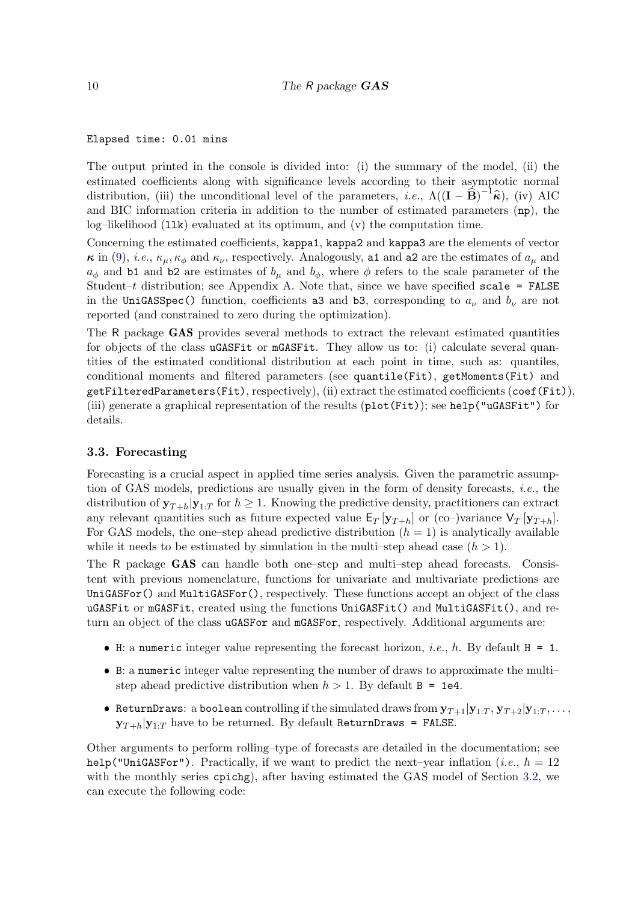#### Elapsed time: 0.01 mins

The output printed in the console is divided into: (i) the summary of the model, (ii) the estimated coefficients along with significance levels according to their asymptotic normal distribution, (iii) the unconditional level of the parameters, *i.e.*,  $\Lambda((\mathbf{I} - \hat{\mathbf{B}})^{-1}\hat{\boldsymbol{\kappa}})$ , (iv) AIC and BIC information criteria in addition to the number of estimated parameters (np), the log–likelihood  $(11k)$  evaluated at its optimum, and  $(v)$  the computation time.

Concerning the estimated coefficients, kappa1, kappa2 and kappa3 are the elements of vector  $\kappa$  in [\(9\)](#page-23-1), *i.e.*,  $\kappa_{\mu}, \kappa_{\phi}$  and  $\kappa_{\nu}$ , respectively. Analogously, a1 and a2 are the estimates of  $a_{\mu}$  and  $a_{\phi}$  and b1 and b2 are estimates of  $b_{\mu}$  and  $b_{\phi}$ , where  $\phi$  refers to the scale parameter of the Student–t distribution; see Appendix [A.](#page-23-0) Note that, since we have specified scale = FALSE in the UniGASSpec() function, coefficients as and b3, corresponding to  $a_{\nu}$  and  $b_{\nu}$  are not reported (and constrained to zero during the optimization).

The R package GAS provides several methods to extract the relevant estimated quantities for objects of the class uGASFit or mGASFit. They allow us to: (i) calculate several quantities of the estimated conditional distribution at each point in time, such as: quantiles, conditional moments and filtered parameters (see quantile(Fit), getMoments(Fit) and getFilteredParameters(Fit), respectively), (ii) extract the estimated coefficients (coef(Fit)), (iii) generate a graphical representation of the results (plot(Fit)); see help("uGASFit") for details.

#### <span id="page-9-0"></span>3.3. Forecasting

Forecasting is a crucial aspect in applied time series analysis. Given the parametric assumption of GAS models, predictions are usually given in the form of density forecasts, i.e., the distribution of  $y_{T+h}|y_{1:T}$  for  $h \geq 1$ . Knowing the predictive density, practitioners can extract any relevant quantities such as future expected value  $E_T$   $[\mathbf{y}_{T+h}]$  or (co–)variance  $V_T$   $[\mathbf{y}_{T+h}]$ . For GAS models, the one–step ahead predictive distribution  $(h = 1)$  is analytically available while it needs to be estimated by simulation in the multi–step ahead case  $(h > 1)$ .

The R package GAS can handle both one–step and multi–step ahead forecasts. Consistent with previous nomenclature, functions for univariate and multivariate predictions are UniGASFor() and MultiGASFor(), respectively. These functions accept an object of the class uGASFit or mGASFit, created using the functions UniGASFit() and MultiGASFit(), and return an object of the class uGASFor and mGASFor, respectively. Additional arguments are:

- $\bullet$  H: a numeric integer value representing the forecast horizon, *i.e.*, *h*. By default H = 1.
- B: a numeric integer value representing the number of draws to approximate the multi– step ahead predictive distribution when  $h > 1$ . By default  $B = 1e4$ .
- ReturnDraws: a boolean controlling if the simulated draws from  $y_{T+1}|y_{1:T}, y_{T+2}|y_{1:T}, \ldots$  $y_{T+h}|y_{1:T}$  have to be returned. By default ReturnDraws = FALSE.

Other arguments to perform rolling–type of forecasts are detailed in the documentation; see help("UniGASFor"). Practically, if we want to predict the next–year inflation (*i.e.*,  $h = 12$ with the monthly series cpichg), after having estimated the GAS model of Section [3.2,](#page-8-0) we can execute the following code: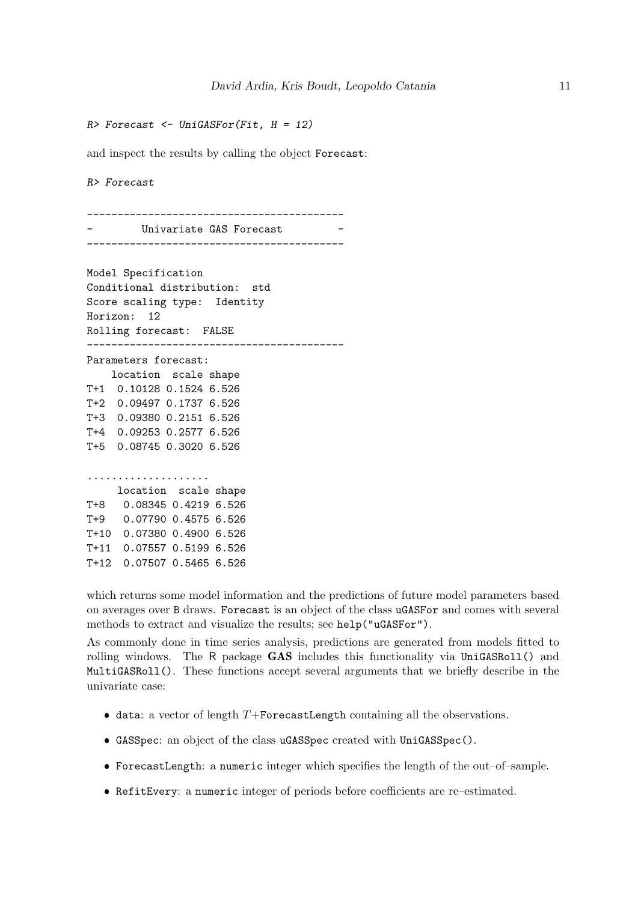$R$ > Forecast  $\leq$  UniGASFor(Fit,  $H = 12$ )

and inspect the results by calling the object Forecast:

R> Forecast

------------------------------------------ Univariate GAS Forecast ------------------------------------------

Model Specification Conditional distribution: std Score scaling type: Identity Horizon: 12 Rolling forecast: FALSE ------------------------------------------ Parameters forecast: location scale shape T+1 0.10128 0.1524 6.526 T+2 0.09497 0.1737 6.526 T+3 0.09380 0.2151 6.526 T+4 0.09253 0.2577 6.526 T+5 0.08745 0.3020 6.526 .................... location scale shape T+8 0.08345 0.4219 6.526 T+9 0.07790 0.4575 6.526 T+10 0.07380 0.4900 6.526 T+11 0.07557 0.5199 6.526 T+12 0.07507 0.5465 6.526

which returns some model information and the predictions of future model parameters based on averages over B draws. Forecast is an object of the class uGASFor and comes with several methods to extract and visualize the results; see help("uGASFor").

As commonly done in time series analysis, predictions are generated from models fitted to rolling windows. The R package  $GAS$  includes this functionality via UniGASRoll() and MultiGASRoll(). These functions accept several arguments that we briefly describe in the univariate case:

- $\bullet$  data: a vector of length T+ForecastLength containing all the observations.
- GASSpec: an object of the class uGASSpec created with UniGASSpec().
- ForecastLength: a numeric integer which specifies the length of the out–of–sample.
- RefitEvery: a numeric integer of periods before coefficients are re–estimated.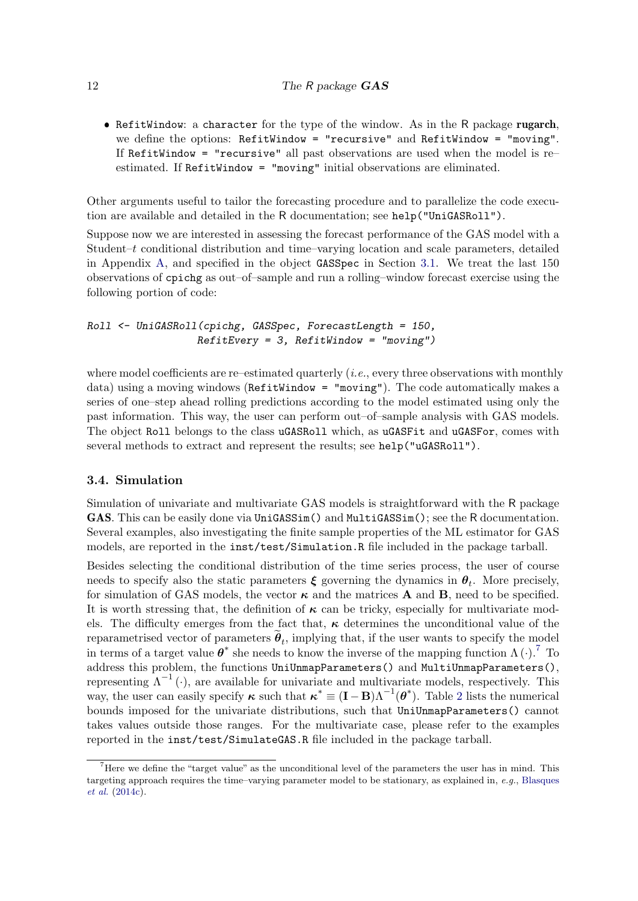• RefitWindow: a character for the type of the window. As in the R package rugarch, we define the options: RefitWindow = "recursive" and RefitWindow = "moving". If RefitWindow = "recursive" all past observations are used when the model is re– estimated. If RefitWindow = "moving" initial observations are eliminated.

Other arguments useful to tailor the forecasting procedure and to parallelize the code execution are available and detailed in the R documentation; see help("UniGASRoll").

Suppose now we are interested in assessing the forecast performance of the GAS model with a Student–t conditional distribution and time–varying location and scale parameters, detailed in Appendix [A,](#page-23-0) and specified in the object GASSpec in Section [3.1.](#page-5-1) We treat the last 150 observations of cpichg as out–of–sample and run a rolling–window forecast exercise using the following portion of code:

Roll <- UniGASRoll(cpichg, GASSpec, ForecastLength = 150,  $RefitEvery = 3, RefitWindow = "moving")$ 

where model coefficients are re–estimated quarterly  $(i.e.,$  every three observations with monthly data) using a moving windows (RefitWindow = "moving"). The code automatically makes a series of one–step ahead rolling predictions according to the model estimated using only the past information. This way, the user can perform out–of–sample analysis with GAS models. The object Roll belongs to the class uGASRoll which, as uGASFit and uGASFor, comes with several methods to extract and represent the results; see help("uGASRoll").

#### <span id="page-11-0"></span>3.4. Simulation

Simulation of univariate and multivariate GAS models is straightforward with the R package GAS. This can be easily done via UniGASSim() and MultiGASSim(); see the R documentation. Several examples, also investigating the finite sample properties of the ML estimator for GAS models, are reported in the inst/test/Simulation.R file included in the package tarball.

Besides selecting the conditional distribution of the time series process, the user of course needs to specify also the static parameters  $\xi$  governing the dynamics in  $\theta_t$ . More precisely, for simulation of GAS models, the vector  $\kappa$  and the matrices **A** and **B**, need to be specified. It is worth stressing that, the definition of  $\kappa$  can be tricky, especially for multivariate models. The difficulty emerges from the fact that,  $\kappa$  determines the unconditional value of the reparametrised vector of parameters  $\theta_t$ , implying that, if the user wants to specify the model in terms of a target value  $\boldsymbol{\theta}^*$  she needs to know the inverse of the mapping function  $\Lambda(\cdot)$ .<sup>[7](#page-11-1)</sup> To address this problem, the functions UniUnmapParameters() and MultiUnmapParameters(), representing  $\Lambda^{-1}(\cdot)$ , are available for univariate and multivariate models, respectively. This way, the user can easily specify  $\kappa$  such that  $\kappa^* \equiv (\mathbf{I} - \mathbf{B})\Lambda^{-1}(\boldsymbol{\theta}^*)$ . Table [2](#page-12-1) lists the numerical bounds imposed for the univariate distributions, such that UniUnmapParameters() cannot takes values outside those ranges. For the multivariate case, please refer to the examples reported in the inst/test/SimulateGAS.R file included in the package tarball.

<span id="page-11-1"></span><sup>&</sup>lt;sup>7</sup>Here we define the "target value" as the unconditional level of the parameters the user has in mind. This targeting approach requires the time–varying parameter model to be stationary, as explained in, e.g., [Blasques](#page-19-11) [et al.](#page-19-11) [\(2014c\)](#page-19-11).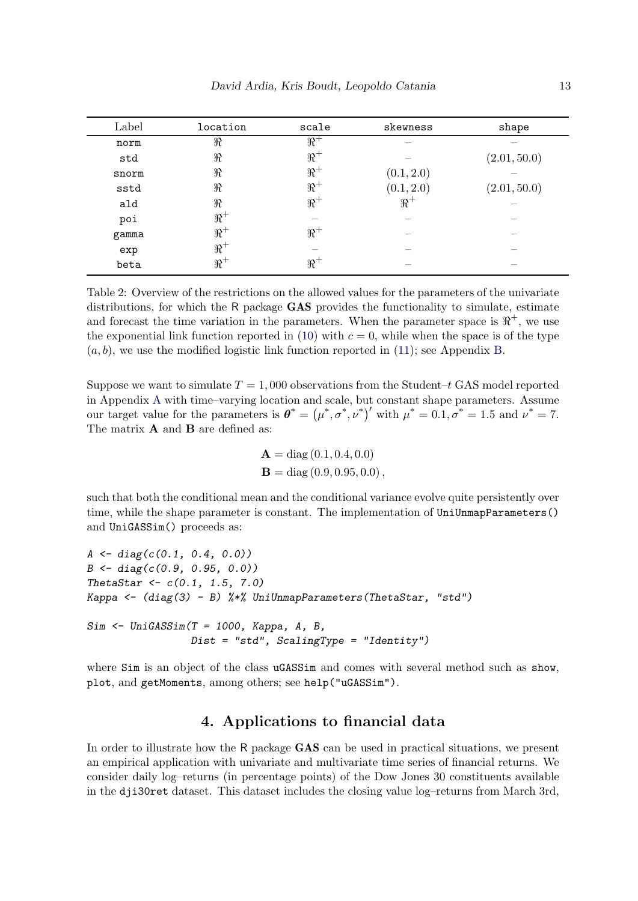<span id="page-12-1"></span>

| Label | location | scale     | skewness   | shape        |
|-------|----------|-----------|------------|--------------|
| norm  | $\Re$    | $\Re^+$   |            |              |
| std   | $\Re$    | $\Re^+$   |            | (2.01, 50.0) |
| snorm | $\Re$    | $\Re^+$   | (0.1, 2.0) |              |
| sstd  | $\Re$    | $\Re^+$   | (0.1, 2.0) | (2.01, 50.0) |
| ald   | $\Re$    | $\Re^+$   | $\Re^+$    |              |
| poi   | $\Re^+$  |           |            |              |
| gamma | $\Re^+$  | $\Re^+$   |            |              |
| exp   | $\Re^+$  |           |            |              |
| beta  | $\Re^+$  | $\real^+$ |            |              |

Table 2: Overview of the restrictions on the allowed values for the parameters of the univariate distributions, for which the R package GAS provides the functionality to simulate, estimate and forecast the time variation in the parameters. When the parameter space is  $\mathbb{R}^+$ , we use the exponential link function reported in [\(10\)](#page-24-1) with  $c = 0$ , while when the space is of the type  $(a, b)$ , we use the modified logistic link function reported in [\(11\)](#page-24-2); see Appendix [B.](#page-24-0)

Suppose we want to simulate  $T = 1,000$  observations from the Student–t GAS model reported in Appendix [A](#page-23-0) with time–varying location and scale, but constant shape parameters. Assume our target value for the parameters is  $\boldsymbol{\theta}^* = (\mu^*, \sigma^*, \nu^*)'$  with  $\mu^* = 0.1, \sigma^* = 1.5$  and  $\nu^* = 7$ . The matrix **A** and **B** are defined as:

$$
\mathbf{A} = \text{diag}(0.1, 0.4, 0.0) \n\mathbf{B} = \text{diag}(0.9, 0.95, 0.0),
$$

such that both the conditional mean and the conditional variance evolve quite persistently over time, while the shape parameter is constant. The implementation of UniUnmapParameters() and UniGASSim() proceeds as:

```
A \leftarrow diag(c(0.1, 0.4, 0.0))B \leftarrow diag(c(0.9, 0.95, 0.0))ThetaStar <-c(0.1, 1.5, 7.0)Kappa \leq (diag(3) - B) \frac{1}{2} UniUnmapParameters(ThetaStar, "std")
Sim \leftarrow UniGASSim(T = 1000, Kappa, A, B,Dist = "std", ScalingType = "Identity")
```
where Sim is an object of the class uGASSim and comes with several method such as show, plot, and getMoments, among others; see help("uGASSim").

# 4. Applications to financial data

<span id="page-12-0"></span>In order to illustrate how the R package GAS can be used in practical situations, we present an empirical application with univariate and multivariate time series of financial returns. We consider daily log–returns (in percentage points) of the Dow Jones 30 constituents available in the dji30ret dataset. This dataset includes the closing value log–returns from March 3rd,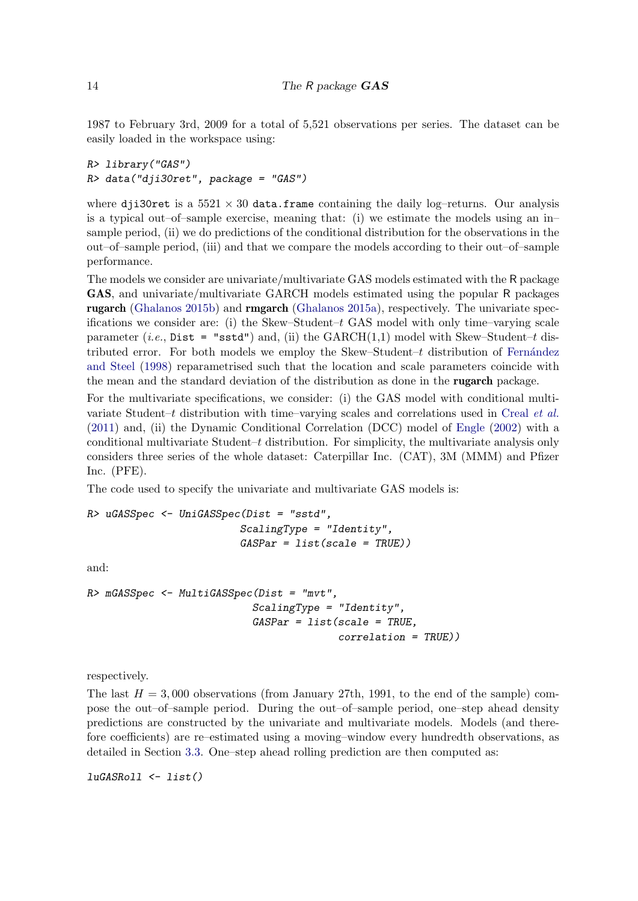1987 to February 3rd, 2009 for a total of 5,521 observations per series. The dataset can be easily loaded in the workspace using:

```
R> library("GAS")
R> data("dji30ret", package = "GAS")
```
where dji30ret is a  $5521 \times 30$  data.frame containing the daily log-returns. Our analysis is a typical out–of–sample exercise, meaning that: (i) we estimate the models using an in– sample period, (ii) we do predictions of the conditional distribution for the observations in the out–of–sample period, (iii) and that we compare the models according to their out–of–sample performance.

The models we consider are univariate/multivariate GAS models estimated with the R package GAS, and univariate/multivariate GARCH models estimated using the popular R packages rugarch [\(Ghalanos](#page-20-5) [2015b\)](#page-20-5) and rmgarch [\(Ghalanos](#page-20-7) [2015a\)](#page-20-7), respectively. The univariate specifications we consider are: (i) the Skew–Student– $t$  GAS model with only time–varying scale parameter (*i.e.*, Dist = "sstd") and, (ii) the  $GARCH(1,1)$  model with Skew–Student–t distributed error. For both models we employ the Skew–Student– $t$  distribution of Fernández [and Steel](#page-20-8) [\(1998\)](#page-20-8) reparametrised such that the location and scale parameters coincide with the mean and the standard deviation of the distribution as done in the rugarch package.

For the multivariate specifications, we consider: (i) the GAS model with conditional multivariate Student–t distribution with time–varying scales and correlations used in [Creal](#page-19-12) et al. [\(2011\)](#page-19-12) and, (ii) the Dynamic Conditional Correlation (DCC) model of [Engle](#page-20-9) [\(2002\)](#page-20-9) with a conditional multivariate Student–t distribution. For simplicity, the multivariate analysis only considers three series of the whole dataset: Caterpillar Inc. (CAT), 3M (MMM) and Pfizer Inc. (PFE).

The code used to specify the univariate and multivariate GAS models is:

```
R> uGASSpec <- UniGASSpec(Dist = "sstd",
                         ScalingType = "Identity",
                         GASPar = list(scale = TRUE)
```
and:

```
R> mGASSpec <- MultiGASSpec(Dist = "mvt",
                           ScalingType = "Identity",
                           GASPar = list(scale = TRUE,correlation = TRUE))
```
respectively.

The last  $H = 3,000$  observations (from January 27th, 1991, to the end of the sample) compose the out–of–sample period. During the out–of–sample period, one–step ahead density predictions are constructed by the univariate and multivariate models. Models (and therefore coefficients) are re–estimated using a moving–window every hundredth observations, as detailed in Section [3.3.](#page-9-0) One–step ahead rolling prediction are then computed as:

 $luGASRoll$  <-  $list()$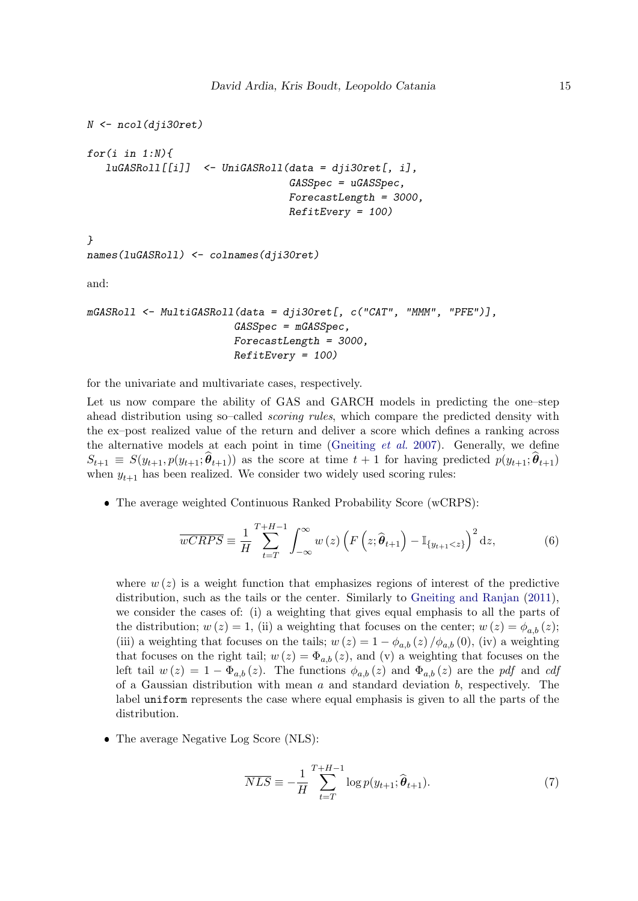```
N \leftarrow \text{ncol}(dii30 \text{ret})for(i in 1:N){
   luGASRoll[[i]] <- UniGASRoll(data = dji30ret[, i],
                                    GASSpec = uGASSpec.
                                    ForecastLength = 3000,
                                    RefitEvery = 100)}
names(luGASRoll) <- colnames(dji30ret)
and:
mGASRoll <- MultiGASRoll(data = dji30ret[, c("CAT", "MMM", "PFE")],
                          GASSpec = mGASSpec,
                          ForecastLength = 3000,
                          RefitEvery = 100)
```
for the univariate and multivariate cases, respectively.

Let us now compare the ability of GAS and GARCH models in predicting the one–step ahead distribution using so–called scoring rules, which compare the predicted density with the ex–post realized value of the return and deliver a score which defines a ranking across the alternative models at each point in time [\(Gneiting](#page-20-10)  $et$  al. [2007\)](#page-20-10). Generally, we define  $S_{t+1} \equiv S(y_{t+1}, p(y_{t+1}; \theta_{t+1}))$  as the score at time  $t+1$  for having predicted  $p(y_{t+1}; \theta_{t+1})$ when  $y_{t+1}$  has been realized. We consider two widely used scoring rules:

The average weighted Continuous Ranked Probability Score (wCRPS):

<span id="page-14-1"></span>
$$
\overline{wCRPS} \equiv \frac{1}{H} \sum_{t=T}^{T+H-1} \int_{-\infty}^{\infty} w(z) \left( F\left(z; \widehat{\theta}_{t+1}\right) - \mathbb{I}_{\{y_{t+1} < z\}} \right)^2 dz,\tag{6}
$$

where  $w(z)$  is a weight function that emphasizes regions of interest of the predictive distribution, such as the tails or the center. Similarly to [Gneiting and Ranjan](#page-20-11) [\(2011\)](#page-20-11), we consider the cases of: (i) a weighting that gives equal emphasis to all the parts of the distribution;  $w(z) = 1$ , (ii) a weighting that focuses on the center;  $w(z) = \phi_{a,b}(z)$ ; (iii) a weighting that focuses on the tails;  $w(z) = 1 - \phi_{a,b}(z) / \phi_{a,b}(0)$ , (iv) a weighting that focuses on the right tail;  $w(z) = \Phi_{a,b}(z)$ , and (v) a weighting that focuses on the left tail  $w(z) = 1 - \Phi_{a,b}(z)$ . The functions  $\phi_{a,b}(z)$  and  $\Phi_{a,b}(z)$  are the pdf and cdf of a Gaussian distribution with mean  $a$  and standard deviation  $b$ , respectively. The label uniform represents the case where equal emphasis is given to all the parts of the distribution.

<span id="page-14-0"></span>• The average Negative Log Score (NLS):

$$
\overline{NLS} \equiv -\frac{1}{H} \sum_{t=T}^{T+H-1} \log p(y_{t+1}; \widehat{\boldsymbol{\theta}}_{t+1}). \tag{7}
$$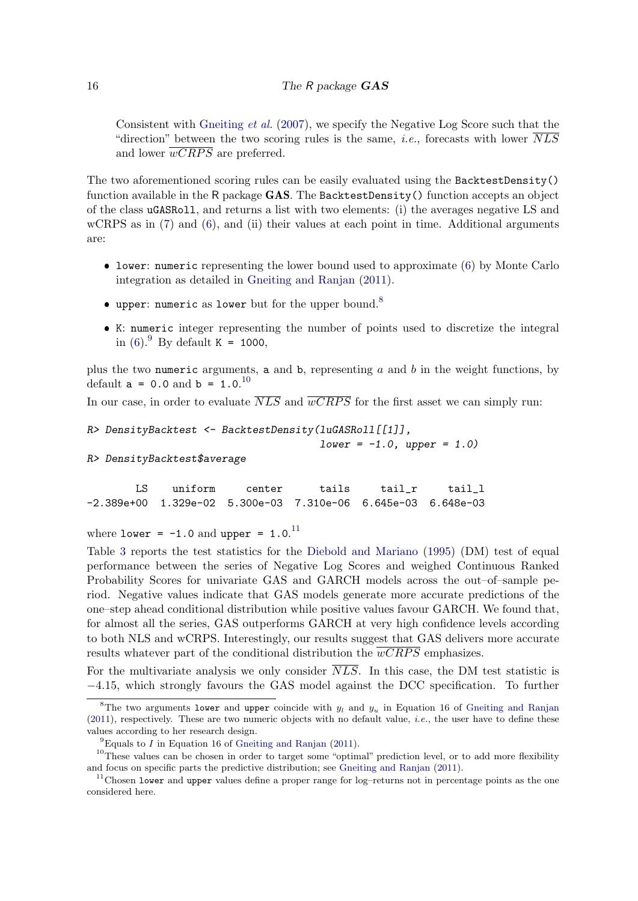Consistent with [Gneiting](#page-20-10) et al.  $(2007)$ , we specify the Negative Log Score such that the "direction" between the two scoring rules is the same, *i.e.*, forecasts with lower  $\overline{NLS}$ and lower  $\overline{wCRPS}$  are preferred.

The two aforementioned scoring rules can be easily evaluated using the BacktestDensity() function available in the R package GAS. The BacktestDensity () function accepts an object of the class uGASRoll, and returns a list with two elements: (i) the averages negative LS and wCRPS as in  $(7)$  and  $(6)$ , and  $(ii)$  their values at each point in time. Additional arguments are:

- lower: numeric representing the lower bound used to approximate [\(6\)](#page-14-1) by Monte Carlo integration as detailed in [Gneiting and Ranjan](#page-20-11) [\(2011\)](#page-20-11).
- $\bullet$  upper: numeric as lower but for the upper bound.  $^8$  $^8$
- K: numeric integer representing the number of points used to discretize the integral in [\(6\)](#page-14-1). <sup>[9](#page-15-1)</sup> By default K = 1000,

plus the two numeric arguments, a and b, representing  $a$  and  $b$  in the weight functions, by default  $a = 0.0$  and  $b = 1.0$ .<sup>[10](#page-15-2)</sup>

In our case, in order to evaluate  $\overline{NLS}$  and  $\overline{wCRPS}$  for the first asset we can simply run:

```
R> DensityBacktest <- BacktestDensity(luGASRoll[[1]],
```
 $lower = -1.0, upper = 1.0)$ 

R> DensityBacktest\$average

LS uniform center tails tail\_r tail\_l -2.389e+00 1.329e-02 5.300e-03 7.310e-06 6.645e-03 6.648e-03

where lower =  $-1.0$  and upper =  $1.0$ .<sup>[11](#page-15-3)</sup>

Table [3](#page-16-0) reports the test statistics for the [Diebold and Mariano](#page-19-13) [\(1995\)](#page-19-13) (DM) test of equal performance between the series of Negative Log Scores and weighed Continuous Ranked Probability Scores for univariate GAS and GARCH models across the out–of–sample period. Negative values indicate that GAS models generate more accurate predictions of the one–step ahead conditional distribution while positive values favour GARCH. We found that, for almost all the series, GAS outperforms GARCH at very high confidence levels according to both NLS and wCRPS. Interestingly, our results suggest that GAS delivers more accurate results whatever part of the conditional distribution the  $\overline{wCRPS}$  emphasizes.

For the multivariate analysis we only consider  $\overline{NLS}$ . In this case, the DM test statistic is −4.15, which strongly favours the GAS model against the DCC specification. To further

<span id="page-15-0"></span><sup>&</sup>lt;sup>8</sup>The two arguments lower and upper coincide with  $y_l$  and  $y_u$  in Equation 16 of [Gneiting and Ranjan](#page-20-11) [\(2011\)](#page-20-11), respectively. These are two numeric objects with no default value, i.e., the user have to define these values according to her research design.

<span id="page-15-2"></span><span id="page-15-1"></span> ${}^{9}$ Equals to I in Equation 16 of [Gneiting and Ranjan](#page-20-11) [\(2011\)](#page-20-11).

<sup>&</sup>lt;sup>10</sup>These values can be chosen in order to target some "optimal" prediction level, or to add more flexibility and focus on specific parts the predictive distribution; see [Gneiting and Ranjan](#page-20-11) [\(2011\)](#page-20-11).

<span id="page-15-3"></span> $11$ Chosen lower and upper values define a proper range for log-returns not in percentage points as the one considered here.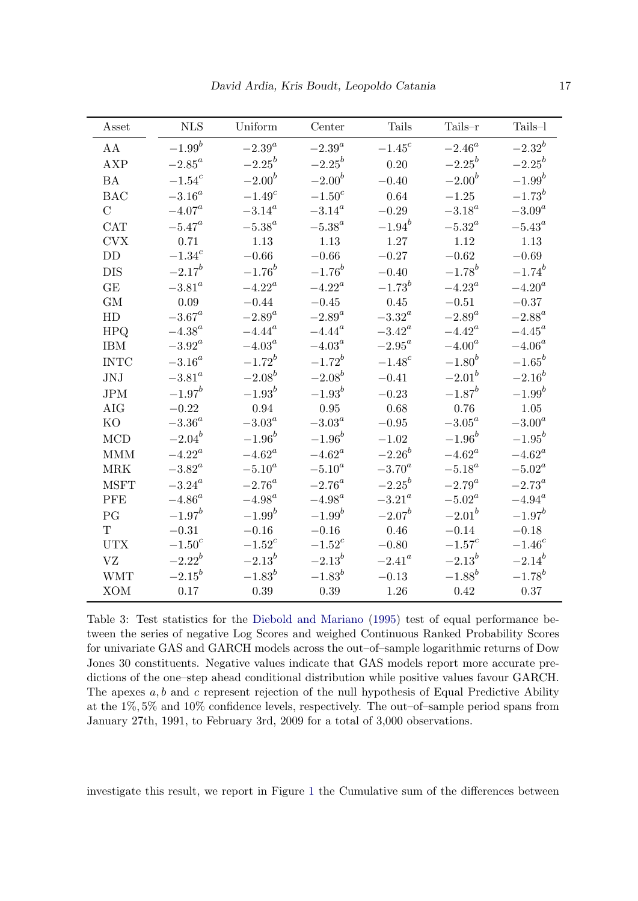<span id="page-16-0"></span>

| Asset          | <b>NLS</b>      | Uniform     | Center          | Tails           | Tails-r     | Tails-l         |
|----------------|-----------------|-------------|-----------------|-----------------|-------------|-----------------|
| AA             | $-1.99^{b}$     | $-2.39^a$   | $-2.39^a$       | $-1.45^{c}$     | $-2.46^a$   | $-2.32^{b}$     |
| AXP            | $-2.85^a$       | $-2.25^{b}$ | $-2.25^{b}$     | 0.20            | $-2.25^{b}$ | $-2.25^{b}$     |
| <b>BA</b>      | $-1.54^c$       | $-2.00^{b}$ | $-2.00^{b}$     | $-0.40$         | $-2.00^{b}$ | $-1.99^{b}$     |
| <b>BAC</b>     | $-3.16^a$       | $-1.49^{c}$ | $-1.50^{c}$     | 0.64            | $-1.25$     | $-1.73^{b}$     |
| $\overline{C}$ | $-4.07^a$       | $-3.14^a$   | $-3.14^a$       | $-0.29$         | $-3.18^a$   | $-3.09^a$       |
| <b>CAT</b>     | $-5.47^a$       | $-5.38^a$   | $-5.38^a$       | $-1.94^{b}$     | $-5.32^a$   | $-5.43^a$       |
| <b>CVX</b>     | 0.71            | 1.13        | 1.13            | 1.27            | 1.12        | 1.13            |
| <b>DD</b>      | $-1.34^{c}$     | $-0.66$     | $-0.66$         | $-0.27$         | $-0.62$     | $-0.69$         |
| <b>DIS</b>     | $-2.17^{b}$     | $-1.76^{b}$ | $-1.76^{b}$     | $-0.40$         | $-1.78^{b}$ | $-1.74^{b}$     |
| GE             | $-3.81^a$       | $-4.22^a$   | $-4.22^a$       | $-1.73^{b}$     | $-4.23^a$   | $-4.20^a$       |
| <b>GM</b>      | 0.09            | $-0.44$     | $-0.45$         | 0.45            | $-0.51$     | $-0.37$         |
| HD             | $-3.67^a$       | $-2.89^a$   | $-2.89^a$       | $-3.32^{\circ}$ | $-2.89^a$   | $-2.88^a$       |
| <b>HPQ</b>     | $-4.38^{\circ}$ | $-4.44^a$   | $-4.44^a$       | $-3.42^a$       | $-4.42^a$   | $-4.45^a$       |
| <b>IBM</b>     | $-3.92^{\circ}$ | $-4.03^a$   | $-4.03^{\circ}$ | $-2.95^a$       | $-4.00^a$   | $-4.06^a$       |
| <b>INTC</b>    | $-3.16^a$       | $-1.72^{b}$ | $-1.72^{b}$     | $-1.48^{c}$     | $-1.80^{b}$ | $-1.65^{b}$     |
| JNJ            | $-3.81^a$       | $-2.08^{b}$ | $-2.08^{b}$     | $-0.41$         | $-2.01^{b}$ | $-2.16^b$       |
| <b>JPM</b>     | $-1.97^b$       | $-1.93^{b}$ | $-1.93^{b}$     | $-0.23$         | $-1.87^{b}$ | $-1.99^{b}$     |
| <b>AIG</b>     | $-0.22$         | 0.94        | 0.95            | 0.68            | 0.76        | 1.05            |
| K <sub>O</sub> | $-3.36^a$       | $-3.03^a$   | $-3.03^{\circ}$ | $-0.95$         | $-3.05^a$   | $-3.00^a$       |
| <b>MCD</b>     | $-2.04^{b}$     | $-1.96^{b}$ | $-1.96^{b}$     | $-1.02$         | $-1.96^{b}$ | $-1.95^{b}$     |
| <b>MMM</b>     | $-4.22^a$       | $-4.62^a$   | $-4.62^a$       | $-2.26^{b}$     | $-4.62^a$   | $-4.62^a$       |
| <b>MRK</b>     | $-3.82^a$       | $-5.10^a$   | $-5.10^a$       | $-3.70^a$       | $-5.18^a$   | $-5.02^a$       |
| <b>MSFT</b>    | $-3.24^a$       | $-2.76^a$   | $-2.76^a$       | $-2.25^{b}$     | $-2.79^a$   | $-2.73^{\circ}$ |
| <b>PFE</b>     | $-4.86^a$       | $-4.98^a$   | $-4.98^a$       | $-3.21^a$       | $-5.02^a$   | $-4.94^a$       |
| PG             | $-1.97^b$       | $-1.99^{b}$ | $-1.99^{b}$     | $-2.07^{b}$     | $-2.01^{b}$ | $-1.97^{b}$     |
| $\mathbf{T}$   | $-0.31$         | $-0.16$     | $-0.16$         | 0.46            | $-0.14$     | $-0.18$         |
| <b>UTX</b>     | $-1.50^{c}$     | $-1.52^c$   | $-1.52^c$       | $-0.80$         | $-1.57^c$   | $-1.46^{c}$     |
| VZ             | $-2.22^{b}$     | $-2.13^{b}$ | $-2.13^{b}$     | $-2.41^{\circ}$ | $-2.13^{b}$ | $-2.14^{b}$     |
| <b>WMT</b>     | $-2.15^{b}$     | $-1.83^{b}$ | $-1.83^{b}$     | $-0.13$         | $-1.88^{b}$ | $-1.78^{b}$     |
| <b>XOM</b>     | 0.17            | $0.39\,$    | 0.39            | 1.26            | 0.42        | 0.37            |

Table 3: Test statistics for the [Diebold and Mariano](#page-19-13) [\(1995\)](#page-19-13) test of equal performance between the series of negative Log Scores and weighed Continuous Ranked Probability Scores for univariate GAS and GARCH models across the out–of–sample logarithmic returns of Dow Jones 30 constituents. Negative values indicate that GAS models report more accurate predictions of the one–step ahead conditional distribution while positive values favour GARCH. The apexes  $a, b$  and c represent rejection of the null hypothesis of Equal Predictive Ability at the 1%, 5% and 10% confidence levels, respectively. The out–of–sample period spans from January 27th, 1991, to February 3rd, 2009 for a total of 3,000 observations.

investigate this result, we report in Figure [1](#page-17-0) the Cumulative sum of the differences between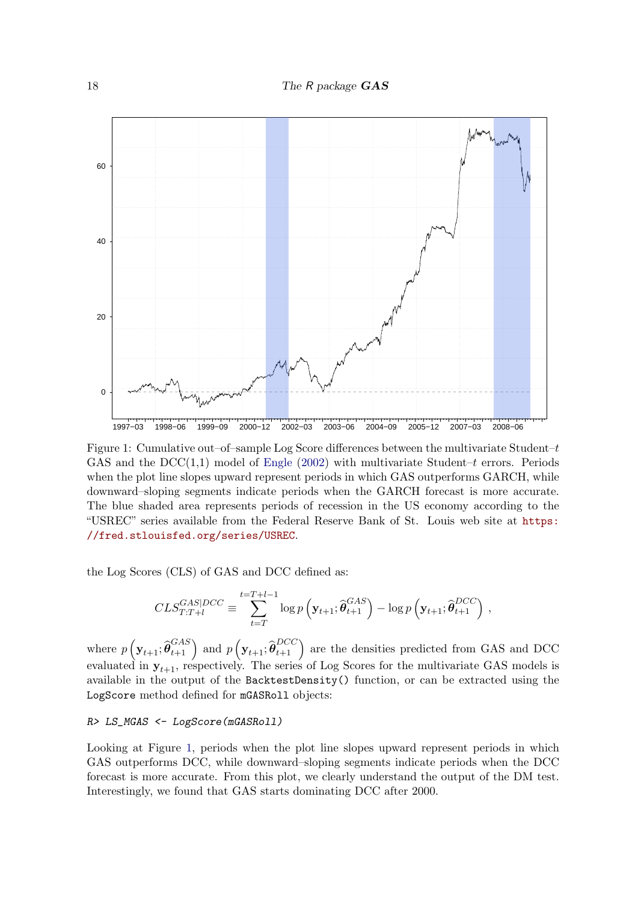<span id="page-17-0"></span>

Figure 1: Cumulative out–of–sample Log Score differences between the multivariate Student– $t$ GAS and the  $DCC(1,1)$  model of [Engle](#page-20-9) [\(2002\)](#page-20-9) with multivariate Student–t errors. Periods when the plot line slopes upward represent periods in which GAS outperforms GARCH, while downward–sloping segments indicate periods when the GARCH forecast is more accurate. The blue shaded area represents periods of recession in the US economy according to the "USREC" series available from the Federal Reserve Bank of St. Louis web site at [https:](https://fred.stlouisfed.org/series/USREC) [//fred.stlouisfed.org/series/USREC](https://fred.stlouisfed.org/series/USREC).

the Log Scores (CLS) of GAS and DCC defined as:

$$
CLS_{T:T+l}^{GAS|DCC} \equiv \sum_{t=T}^{t=T+l-1} \log p \left( \mathbf{y}_{t+1}; \widehat{\boldsymbol{\theta}}_{t+1}^{GAS} \right) - \log p \left( \mathbf{y}_{t+1}; \widehat{\boldsymbol{\theta}}_{t+1}^{DCC} \right),
$$

where  $p\left(\mathbf{y}_{t+1}; \widehat{\boldsymbol{\theta}}_{t+1}^{GAS}\right)$  and  $p\left(\mathbf{y}_{t+1}; \widehat{\boldsymbol{\theta}}_{t+1}^{DCC}\right)$  are the densities predicted from GAS and DCC evaluated in  $y_{t+1}$ , respectively. The series of Log Scores for the multivariate GAS models is available in the output of the BacktestDensity() function, or can be extracted using the LogScore method defined for mGASRoll objects:

#### R> LS\_MGAS <- LogScore(mGASRoll)

Looking at Figure [1,](#page-17-0) periods when the plot line slopes upward represent periods in which GAS outperforms DCC, while downward–sloping segments indicate periods when the DCC forecast is more accurate. From this plot, we clearly understand the output of the DM test. Interestingly, we found that GAS starts dominating DCC after 2000.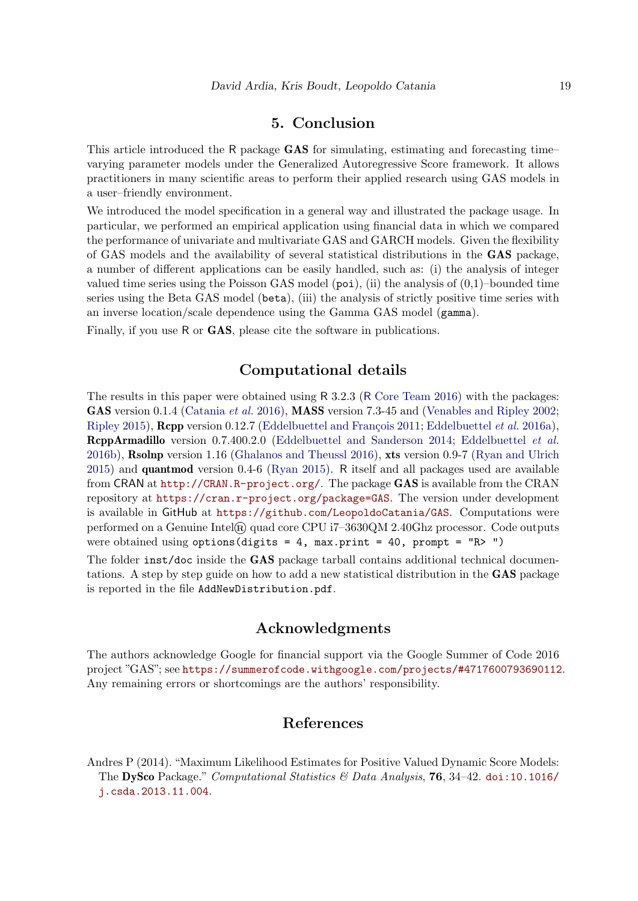# 5. Conclusion

<span id="page-18-0"></span>This article introduced the R package **GAS** for simulating, estimating and forecasting time– varying parameter models under the Generalized Autoregressive Score framework. It allows practitioners in many scientific areas to perform their applied research using GAS models in a user–friendly environment.

We introduced the model specification in a general way and illustrated the package usage. In particular, we performed an empirical application using financial data in which we compared the performance of univariate and multivariate GAS and GARCH models. Given the flexibility of GAS models and the availability of several statistical distributions in the GAS package, a number of different applications can be easily handled, such as: (i) the analysis of integer valued time series using the Poisson GAS model  $(po_i)$ , (ii) the analysis of  $(0,1)$ –bounded time series using the Beta GAS model (beta), (iii) the analysis of strictly positive time series with an inverse location/scale dependence using the Gamma GAS model (gamma).

Finally, if you use R or GAS, please cite the software in publications.

# Computational details

The results in this paper were obtained using R 3.2.3 (R [Core Team](#page-21-3) [2016\)](#page-21-3) with the packages: GAS version 0.1.4 [\(Catania](#page-19-14) *et al.* [2016\)](#page-19-14), MASS version 7.3-45 and [\(Venables and Ripley](#page-21-8) [2002;](#page-21-8) [Ripley](#page-21-9) [2015\)](#page-21-9), **Repp** version 0.12.7 (Eddelbuettel and François [2011;](#page-19-5) [Eddelbuettel](#page-19-6) *et al.* [2016a\)](#page-19-6), RcppArmadillo version 0.7.400.2.0 [\(Eddelbuettel and Sanderson](#page-20-4) [2014;](#page-20-4) [Eddelbuettel](#page-19-7) et al. [2016b\)](#page-19-7), Rsolnp version 1.16 [\(Ghalanos and Theussl](#page-20-6) [2016\)](#page-20-6), xts version 0.9-7 [\(Ryan and Ulrich](#page-21-10) [2015\)](#page-21-10) and quantmod version 0.4-6 [\(Ryan](#page-21-11) [2015\)](#page-21-11). R itself and all packages used are available from CRAN at <http://CRAN.R-project.org/>. The package GAS is available from the CRAN repository at <https://cran.r-project.org/package=GAS>. The version under development is available in GitHub at <https://github.com/LeopoldoCatania/GAS>. Computations were performed on a Genuine Intel $\circledR$  quad core CPU i7-3630QM 2.40Ghz processor. Code outputs were obtained using options (digits = 4, max.print = 40, prompt =  $"R> "$ )

The folder inst/doc inside the GAS package tarball contains additional technical documentations. A step by step guide on how to add a new statistical distribution in the GAS package is reported in the file AddNewDistribution.pdf.

## Acknowledgments

The authors acknowledge Google for financial support via the Google Summer of Code 2016 project "GAS"; see <https://summerofcode.withgoogle.com/projects/#4717600793690112>. Any remaining errors or shortcomings are the authors' responsibility.

# References

<span id="page-18-1"></span>Andres P (2014). "Maximum Likelihood Estimates for Positive Valued Dynamic Score Models: The DySco Package." Computational Statistics & Data Analysis, 76, 34–42. [doi:10.1016/](http://dx.doi.org/10.1016/j.csda.2013.11.004) [j.csda.2013.11.004](http://dx.doi.org/10.1016/j.csda.2013.11.004).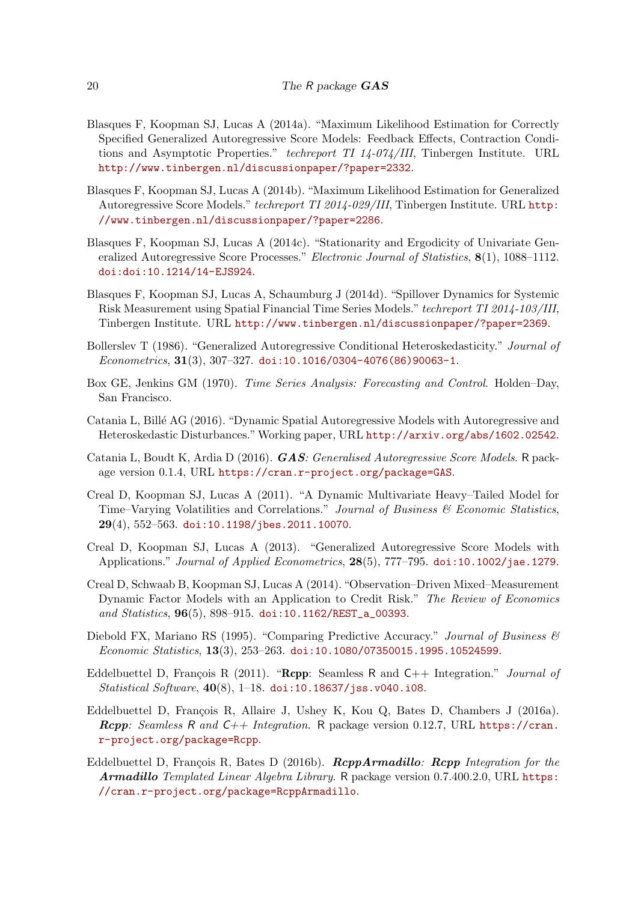- <span id="page-19-9"></span>Blasques F, Koopman SJ, Lucas A (2014a). "Maximum Likelihood Estimation for Correctly Specified Generalized Autoregressive Score Models: Feedback Effects, Contraction Conditions and Asymptotic Properties." techreport TI 14-074/III, Tinbergen Institute. URL <http://www.tinbergen.nl/discussionpaper/?paper=2332>.
- <span id="page-19-10"></span>Blasques F, Koopman SJ, Lucas A (2014b). "Maximum Likelihood Estimation for Generalized Autoregressive Score Models." techreport TI 2014-029/III, Tinbergen Institute. URL [http:](http://www.tinbergen.nl/discussionpaper/?paper=2286) [//www.tinbergen.nl/discussionpaper/?paper=2286](http://www.tinbergen.nl/discussionpaper/?paper=2286).
- <span id="page-19-11"></span>Blasques F, Koopman SJ, Lucas A (2014c). "Stationarity and Ergodicity of Univariate Generalized Autoregressive Score Processes." Electronic Journal of Statistics, 8(1), 1088–1112. [doi:doi:10.1214/14-EJS924](http://dx.doi.org/doi:10.1214/14-EJS924).
- <span id="page-19-3"></span>Blasques F, Koopman SJ, Lucas A, Schaumburg J (2014d). "Spillover Dynamics for Systemic Risk Measurement using Spatial Financial Time Series Models." techreport TI 2014-103/III, Tinbergen Institute. URL <http://www.tinbergen.nl/discussionpaper/?paper=2369>.
- <span id="page-19-8"></span>Bollerslev T (1986). "Generalized Autoregressive Conditional Heteroskedasticity." Journal of  $Econometrics, 31(3), 307-327.$  [doi:10.1016/0304-4076\(86\)90063-1](http://dx.doi.org/10.1016/0304-4076(86)90063-1).
- <span id="page-19-1"></span>Box GE, Jenkins GM (1970). Time Series Analysis: Forecasting and Control. Holden–Day, San Francisco.
- <span id="page-19-4"></span>Catania L, Billé AG (2016). "Dynamic Spatial Autoregressive Models with Autoregressive and Heteroskedastic Disturbances."Working paper, URL <http://arxiv.org/abs/1602.02542>.
- <span id="page-19-14"></span>Catania L, Boudt K, Ardia D (2016). **GAS**: Generalised Autoregressive Score Models. R package version 0.1.4, URL <https://cran.r-project.org/package=GAS>.
- <span id="page-19-12"></span>Creal D, Koopman SJ, Lucas A (2011). "A Dynamic Multivariate Heavy–Tailed Model for Time–Varying Volatilities and Correlations." Journal of Business  $\mathcal{B}$  Economic Statistics, 29(4), 552–563. [doi:10.1198/jbes.2011.10070](http://dx.doi.org/10.1198/jbes.2011.10070).
- <span id="page-19-0"></span>Creal D, Koopman SJ, Lucas A (2013). "Generalized Autoregressive Score Models with Applications." Journal of Applied Econometrics, 28(5), 777-795. [doi:10.1002/jae.1279](http://dx.doi.org/10.1002/jae.1279).
- <span id="page-19-2"></span>Creal D, Schwaab B, Koopman SJ, Lucas A (2014). "Observation–Driven Mixed–Measurement Dynamic Factor Models with an Application to Credit Risk." The Review of Economics and Statistics, 96(5), 898–915. [doi:10.1162/REST\\_a\\_00393](http://dx.doi.org/10.1162/REST_a_00393).
- <span id="page-19-13"></span>Diebold FX, Mariano RS (1995). "Comparing Predictive Accuracy." Journal of Business & Economic Statistics, 13(3), 253–263. [doi:10.1080/07350015.1995.10524599](http://dx.doi.org/10.1080/07350015.1995.10524599).
- <span id="page-19-5"></span>Eddelbuettel D, François R (2011). "Rcpp: Seamless R and  $C_{++}$  Integration." *Journal of* Statistical Software,  $40(8)$ , 1-18. [doi:10.18637/jss.v040.i08](http://dx.doi.org/10.18637/jss.v040.i08).
- <span id="page-19-6"></span>Eddelbuettel D, François R, Allaire J, Ushey K, Kou Q, Bates D, Chambers J (2016a). **Rcpp:** Seamless R and  $C++$  Integration. R package version 0.12.7, URL [https://cran.](https://cran.r-project.org/package=Rcpp) [r-project.org/package=Rcpp](https://cran.r-project.org/package=Rcpp).
- <span id="page-19-7"></span>Eddelbuettel D, François R, Bates D (2016b).  $\mathbf{ReppArmadillo:}$  Repp Integration for the Armadillo Templated Linear Algebra Library. R package version 0.7.400.2.0, URL [https:](https://cran.r-project.org/package=RcppArmadillo) [//cran.r-project.org/package=RcppArmadillo](https://cran.r-project.org/package=RcppArmadillo).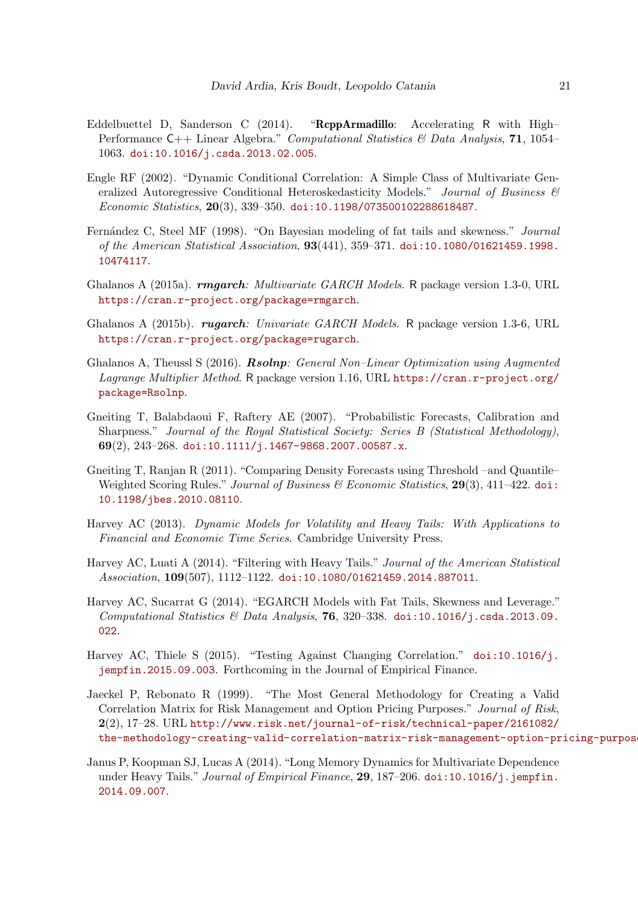- <span id="page-20-4"></span>Eddelbuettel D, Sanderson C (2014). "RcppArmadillo: Accelerating R with High– Performance C++ Linear Algebra." Computational Statistics & Data Analysis, 71, 1054– 1063. [doi:10.1016/j.csda.2013.02.005](http://dx.doi.org/10.1016/j.csda.2013.02.005).
- <span id="page-20-9"></span>Engle RF (2002). "Dynamic Conditional Correlation: A Simple Class of Multivariate Generalized Autoregressive Conditional Heteroskedasticity Models." Journal of Business & Economic Statistics, 20(3), 339–350. [doi:10.1198/073500102288618487](http://dx.doi.org/10.1198/073500102288618487).
- <span id="page-20-8"></span>Fernández C, Steel MF (1998). "On Bayesian modeling of fat tails and skewness." Journal of the American Statistical Association, 93(441), 359–371. [doi:10.1080/01621459.1998.](http://dx.doi.org/10.1080/01621459.1998.10474117) [10474117](http://dx.doi.org/10.1080/01621459.1998.10474117).
- <span id="page-20-7"></span>Ghalanos A (2015a). *rmgarch: Multivariate GARCH Models*. R package version 1.3-0, URL <https://cran.r-project.org/package=rmgarch>.
- <span id="page-20-5"></span>Ghalanos A (2015b). *rugarch: Univariate GARCH Models*. R package version 1.3-6, URL <https://cran.r-project.org/package=rugarch>.
- <span id="page-20-6"></span>Ghalanos A, Theussl S (2016). Rsolnp: General Non–Linear Optimization using Augmented Lagrange Multiplier Method. R package version 1.16, URL [https://cran.r-project.org/](https://cran.r-project.org/package=Rsolnp) [package=Rsolnp](https://cran.r-project.org/package=Rsolnp).
- <span id="page-20-10"></span>Gneiting T, Balabdaoui F, Raftery AE (2007). "Probabilistic Forecasts, Calibration and Sharpness." Journal of the Royal Statistical Society: Series B (Statistical Methodology), 69(2), 243–268. [doi:10.1111/j.1467-9868.2007.00587.x](http://dx.doi.org/10.1111/j.1467-9868.2007.00587.x).
- <span id="page-20-11"></span>Gneiting T, Ranjan R (2011). "Comparing Density Forecasts using Threshold –and Quantile– Weighted Scoring Rules." Journal of Business & Economic Statistics, 29(3), 411-422. [doi:](http://dx.doi.org/10.1198/jbes.2010.08110) [10.1198/jbes.2010.08110](http://dx.doi.org/10.1198/jbes.2010.08110).
- <span id="page-20-0"></span>Harvey AC (2013). Dynamic Models for Volatility and Heavy Tails: With Applications to Financial and Economic Time Series. Cambridge University Press.
- <span id="page-20-12"></span>Harvey AC, Luati A (2014). "Filtering with Heavy Tails." Journal of the American Statistical Association, 109(507), 1112–1122. [doi:10.1080/01621459.2014.887011](http://dx.doi.org/10.1080/01621459.2014.887011).
- <span id="page-20-1"></span>Harvey AC, Sucarrat G (2014). "EGARCH Models with Fat Tails, Skewness and Leverage." Computational Statistics & Data Analysis, 76, 320-338. [doi:10.1016/j.csda.2013.09.](http://dx.doi.org/10.1016/j.csda.2013.09.022) [022](http://dx.doi.org/10.1016/j.csda.2013.09.022).
- <span id="page-20-2"></span>Harvey AC, Thiele S (2015). "Testing Against Changing Correlation." [doi:10.1016/j.](http://dx.doi.org/10.1016/j.jempfin.2015.09.003) [jempfin.2015.09.003](http://dx.doi.org/10.1016/j.jempfin.2015.09.003). Forthcoming in the Journal of Empirical Finance.
- <span id="page-20-13"></span>Jaeckel P, Rebonato R (1999). "The Most General Methodology for Creating a Valid Correlation Matrix for Risk Management and Option Pricing Purposes." Journal of Risk, 2(2), 17–28. URL [http://www.risk.net/journal-of-risk/technical-paper/2161082/](http://www.risk.net/journal-of-risk/technical-paper/2161082/the-methodology-creating-valid-correlation-matrix-risk-management-option-pricing-purposes) [the-methodology-creating-valid-correlation-matrix-risk-management-option-pricing-purposes](http://www.risk.net/journal-of-risk/technical-paper/2161082/the-methodology-creating-valid-correlation-matrix-risk-management-option-pricing-purposes).
- <span id="page-20-3"></span>Janus P, Koopman SJ, Lucas A (2014). "Long Memory Dynamics for Multivariate Dependence under Heavy Tails." Journal of Empirical Finance, 29, 187-206. [doi:10.1016/j.jempfin.](http://dx.doi.org/10.1016/j.jempfin.2014.09.007) [2014.09.007](http://dx.doi.org/10.1016/j.jempfin.2014.09.007).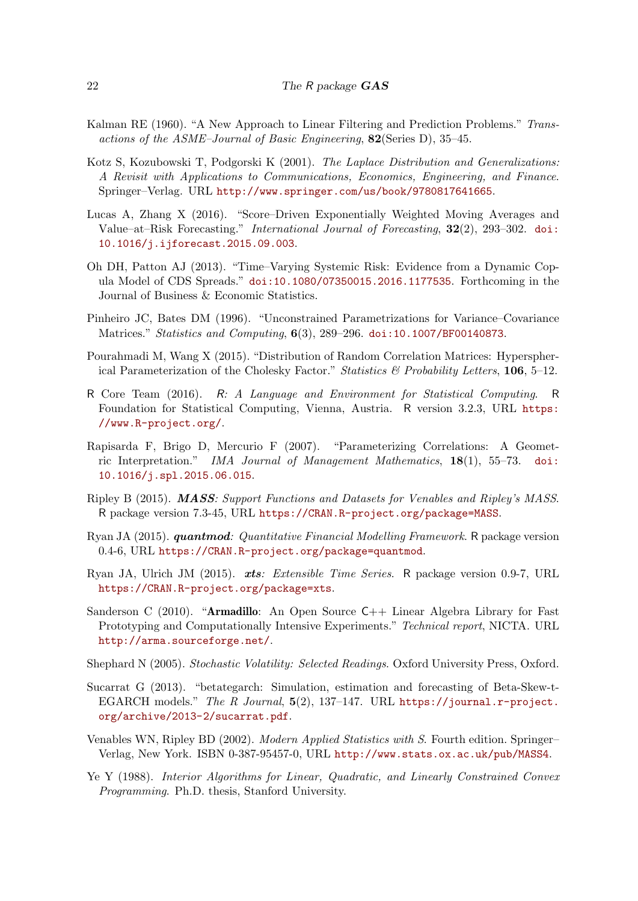- <span id="page-21-0"></span>Kalman RE (1960). "A New Approach to Linear Filtering and Prediction Problems." Transactions of the ASME–Journal of Basic Engineering, 82(Series D), 35–45.
- <span id="page-21-6"></span>Kotz S, Kozubowski T, Podgorski K (2001). The Laplace Distribution and Generalizations: A Revisit with Applications to Communications, Economics, Engineering, and Finance. Springer–Verlag. URL <http://www.springer.com/us/book/9780817641665>.
- <span id="page-21-12"></span>Lucas A, Zhang X (2016). "Score–Driven Exponentially Weighted Moving Averages and Value–at–Risk Forecasting." International Journal of Forecasting, 32(2), 293–302. [doi:](http://dx.doi.org/10.1016/j.ijforecast.2015.09.003) [10.1016/j.ijforecast.2015.09.003](http://dx.doi.org/10.1016/j.ijforecast.2015.09.003).
- <span id="page-21-2"></span>Oh DH, Patton AJ (2013). "Time–Varying Systemic Risk: Evidence from a Dynamic Copula Model of CDS Spreads." [doi:10.1080/07350015.2016.1177535](http://dx.doi.org/10.1080/07350015.2016.1177535). Forthcoming in the Journal of Business & Economic Statistics.
- <span id="page-21-13"></span>Pinheiro JC, Bates DM (1996). "Unconstrained Parametrizations for Variance–Covariance Matrices." Statistics and Computing, 6(3), 289-296. [doi:10.1007/BF00140873](http://dx.doi.org/10.1007/BF00140873).
- <span id="page-21-15"></span>Pourahmadi M, Wang X (2015). "Distribution of Random Correlation Matrices: Hyperspherical Parameterization of the Cholesky Factor." Statistics  $\mathcal{B}$  Probability Letters, 106, 5–12.
- <span id="page-21-3"></span>R Core Team (2016). R: A Language and Environment for Statistical Computing. R Foundation for Statistical Computing, Vienna, Austria. R version 3.2.3, URL [https:](https://www.R-project.org/) [//www.R-project.org/](https://www.R-project.org/).
- <span id="page-21-14"></span>Rapisarda F, Brigo D, Mercurio F (2007). "Parameterizing Correlations: A Geometric Interpretation." IMA Journal of Management Mathematics, 18(1), 55–73. [doi:](http://dx.doi.org/10.1016/j.spl.2015.06.015) [10.1016/j.spl.2015.06.015](http://dx.doi.org/10.1016/j.spl.2015.06.015).
- <span id="page-21-9"></span>Ripley B (2015). MASS: Support Functions and Datasets for Venables and Ripley's MASS. R package version 7.3-45, URL <https://CRAN.R-project.org/package=MASS>.
- <span id="page-21-11"></span>Ryan JA (2015). *quantmod: Quantitative Financial Modelling Framework*. R package version 0.4-6, URL <https://CRAN.R-project.org/package=quantmod>.
- <span id="page-21-10"></span>Ryan JA, Ulrich JM (2015). xts: Extensible Time Series. R package version 0.9-7, URL <https://CRAN.R-project.org/package=xts>.
- <span id="page-21-4"></span>Sanderson C (2010). "Armadillo: An Open Source C++ Linear Algebra Library for Fast Prototyping and Computationally Intensive Experiments." Technical report, NICTA. URL <http://arma.sourceforge.net/>.
- <span id="page-21-1"></span>Shephard N (2005). Stochastic Volatility: Selected Readings. Oxford University Press, Oxford.
- <span id="page-21-5"></span>Sucarrat G (2013). "betategarch: Simulation, estimation and forecasting of Beta-Skew-t-EGARCH models." The R Journal,  $5(2)$ , 137-147. URL [https://journal.r-project.](https://journal.r-project.org/archive/2013-2/sucarrat.pdf) [org/archive/2013-2/sucarrat.pdf](https://journal.r-project.org/archive/2013-2/sucarrat.pdf).
- <span id="page-21-8"></span>Venables WN, Ripley BD (2002). Modern Applied Statistics with S. Fourth edition. Springer– Verlag, New York. ISBN 0-387-95457-0, URL <http://www.stats.ox.ac.uk/pub/MASS4>.
- <span id="page-21-7"></span>Ye Y (1988). Interior Algorithms for Linear, Quadratic, and Linearly Constrained Convex Programming. Ph.D. thesis, Stanford University.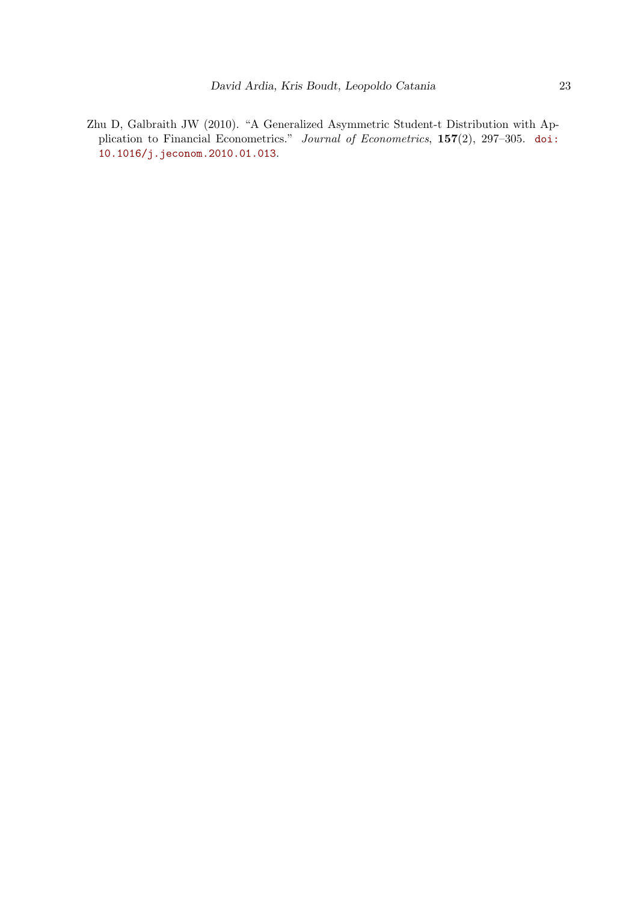<span id="page-22-0"></span>Zhu D, Galbraith JW (2010). "A Generalized Asymmetric Student-t Distribution with Application to Financial Econometrics." Journal of Econometrics, 157(2), 297–305. [doi:](http://dx.doi.org/10.1016/j.jeconom.2010.01.013) [10.1016/j.jeconom.2010.01.013](http://dx.doi.org/10.1016/j.jeconom.2010.01.013).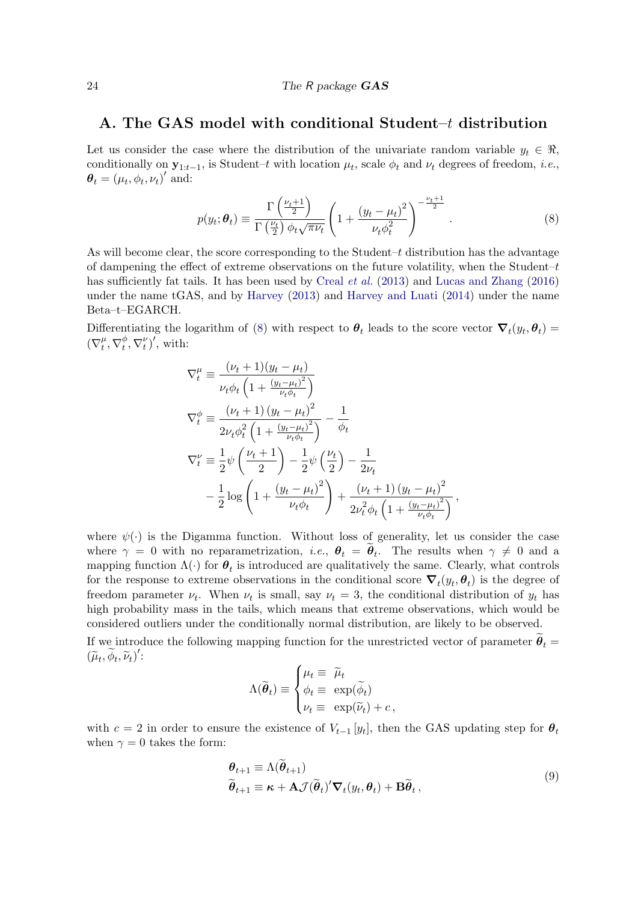### <span id="page-23-0"></span>A. The GAS model with conditional Student–t distribution

Let us consider the case where the distribution of the univariate random variable  $y_t \in \Re$ , conditionally on  $y_{1:t-1}$ , is Student–t with location  $\mu_t$ , scale  $\phi_t$  and  $\nu_t$  degrees of freedom, *i.e.*,  $\boldsymbol{\theta}_t = (\mu_t, \phi_t, \nu_t)'$  and:

<span id="page-23-2"></span>
$$
p(y_t; \theta_t) \equiv \frac{\Gamma\left(\frac{\nu_t + 1}{2}\right)}{\Gamma\left(\frac{\nu_t}{2}\right) \phi_t \sqrt{\pi \nu_t}} \left(1 + \frac{\left(y_t - \mu_t\right)^2}{\nu_t \phi_t^2}\right)^{-\frac{\nu_t + 1}{2}}.
$$
 (8)

As will become clear, the score corresponding to the Student– $t$  distribution has the advantage of dampening the effect of extreme observations on the future volatility, when the Student– $t$ has sufficiently fat tails. It has been used by [Creal](#page-19-0) *et al.* [\(2013\)](#page-19-0) and [Lucas and Zhang](#page-21-12) [\(2016\)](#page-21-12) under the name tGAS, and by [Harvey](#page-20-0) [\(2013\)](#page-20-0) and [Harvey and Luati](#page-20-12) [\(2014\)](#page-20-12) under the name Beta–t–EGARCH.

Differentiating the logarithm of [\(8\)](#page-23-2) with respect to  $\theta_t$  leads to the score vector  $\nabla_t(y_t, \theta_t) =$  $(\nabla_t^{\mu}$  $_t^\mu, \nabla_t^\phi$  $(t, \nabla_t^{\nu})'$ , with:

$$
\nabla_t^{\mu} \equiv \frac{(\nu_t + 1)(y_t - \mu_t)}{\nu_t \phi_t \left(1 + \frac{(y_t - \mu_t)^2}{\nu_t \phi_t}\right)}
$$
\n
$$
\nabla_t^{\phi} \equiv \frac{(\nu_t + 1)(y_t - \mu_t)^2}{2\nu_t \phi_t^2 \left(1 + \frac{(y_t - \mu_t)^2}{\nu_t \phi_t}\right)} - \frac{1}{\phi_t}
$$
\n
$$
\nabla_t^{\nu} \equiv \frac{1}{2} \psi \left(\frac{\nu_t + 1}{2}\right) - \frac{1}{2} \psi \left(\frac{\nu_t}{2}\right) - \frac{1}{2\nu_t}
$$
\n
$$
-\frac{1}{2} \log \left(1 + \frac{(y_t - \mu_t)^2}{\nu_t \phi_t}\right) + \frac{(\nu_t + 1)(y_t - \mu_t)^2}{2\nu_t^2 \phi_t \left(1 + \frac{(y_t - \mu_t)^2}{\nu_t \phi_t}\right)},
$$

where  $\psi(\cdot)$  is the Digamma function. Without loss of generality, let us consider the case where  $\gamma = 0$  with no reparametrization, *i.e.*,  $\theta_t = \theta_t$ . The results when  $\gamma \neq 0$  and a mapping function  $\Lambda(\cdot)$  for  $\theta_t$  is introduced are qualitatively the same. Clearly, what controls for the response to extreme observations in the conditional score  $\nabla_t(y_t, \theta_t)$  is the degree of freedom parameter  $\nu_t$ . When  $\nu_t$  is small, say  $\nu_t = 3$ , the conditional distribution of  $y_t$  has high probability mass in the tails, which means that extreme observations, which would be considered outliers under the conditionally normal distribution, are likely to be observed.

If we introduce the following mapping function for the unrestricted vector of parameter  $\theta_t =$  $(\widetilde{\mu}_t, \widetilde{\phi}_t, \widetilde{\nu}_t)'$ :

<span id="page-23-1"></span>
$$
\Lambda(\widetilde{\boldsymbol{\theta}}_t) \equiv \begin{cases} \mu_t \equiv \widetilde{\mu}_t \\ \phi_t \equiv \exp(\widetilde{\phi}_t) \\ \nu_t \equiv \exp(\widetilde{\nu}_t) + c \,, \end{cases}
$$

with  $c = 2$  in order to ensure the existence of  $V_{t-1} [y_t]$ , then the GAS updating step for  $\theta_t$ when  $\gamma = 0$  takes the form:

$$
\begin{aligned} \boldsymbol{\theta}_{t+1} &\equiv \Lambda(\boldsymbol{\theta}_{t+1}) \\ \widetilde{\boldsymbol{\theta}}_{t+1} &\equiv \boldsymbol{\kappa} + \mathbf{A}\mathcal{J}(\widetilde{\boldsymbol{\theta}}_t)' \boldsymbol{\nabla}_t(y_t, \boldsymbol{\theta}_t) + \mathbf{B}\widetilde{\boldsymbol{\theta}}_t \,, \end{aligned} \tag{9}
$$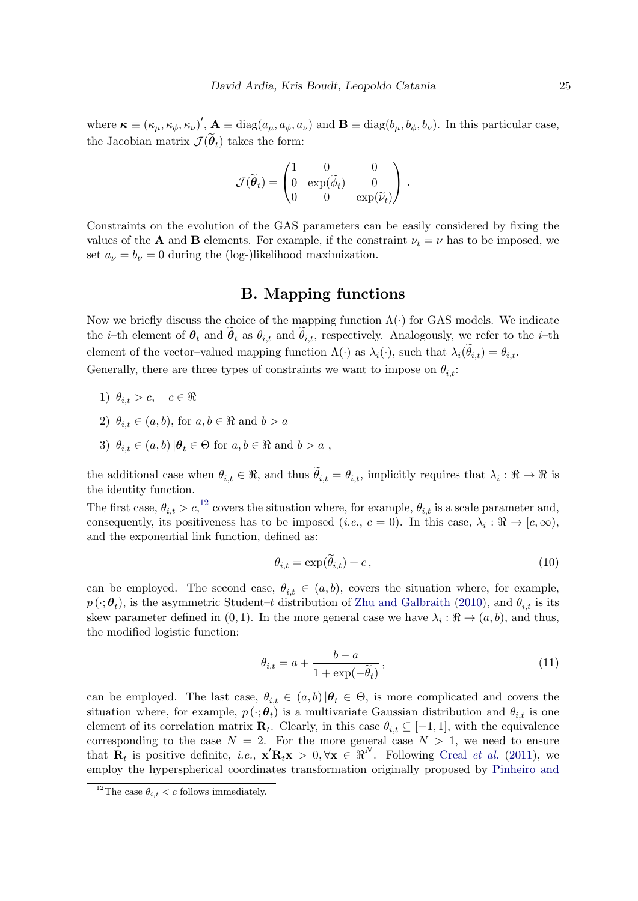where  $\kappa \equiv (\kappa_{\mu}, \kappa_{\phi}, \kappa_{\nu})'$ ,  $\mathbf{A} \equiv \text{diag}(a_{\mu}, a_{\phi}, a_{\nu})$  and  $\mathbf{B} \equiv \text{diag}(b_{\mu}, b_{\phi}, b_{\nu})$ . In this particular case, the Jacobian matrix  $\mathcal{J}(\boldsymbol{\theta}_t)$  takes the form:

$$
\mathcal{J}(\widetilde{\boldsymbol{\theta}}_t) = \begin{pmatrix} 1 & 0 & 0 \\ 0 & \exp(\widetilde{\phi}_t) & 0 \\ 0 & 0 & \exp(\widetilde{\nu}_t) \end{pmatrix}.
$$

Constraints on the evolution of the GAS parameters can be easily considered by fixing the values of the **A** and **B** elements. For example, if the constraint  $\nu_t = \nu$  has to be imposed, we set  $a_{\nu} = b_{\nu} = 0$  during the (log-)likelihood maximization.

### B. Mapping functions

<span id="page-24-0"></span>Now we briefly discuss the choice of the mapping function  $\Lambda(\cdot)$  for GAS models. We indicate the *i*-th element of  $\theta_t$  and  $\theta_t$  as  $\theta_{i,t}$  and  $\theta_{i,t}$ , respectively. Analogously, we refer to the *i*-th element of the vector-valued mapping function  $\Lambda(\cdot)$  as  $\lambda_i(\cdot)$ , such that  $\lambda_i(\theta_{i,t}) = \theta_{i,t}$ . Generally, there are three types of constraints we want to impose on  $\theta_{i,t}$ :

- 1)  $\theta_{i,t} > c, \quad c \in \Re$
- 2)  $\theta_{i,t} \in (a, b)$ , for  $a, b \in \Re$  and  $b > a$
- 3)  $\theta_{i,t} \in (a,b) | \theta_t \in \Theta$  for  $a, b \in \Re$  and  $b > a$ ,

the additional case when  $\theta_{i,t} \in \mathbb{R}$ , and thus  $\theta_{i,t} = \theta_{i,t}$ , implicitly requires that  $\lambda_i : \mathbb{R} \to \mathbb{R}$  is the identity function.

The first case,  $\theta_{i,t} > c$ ,  $^{12}$  $^{12}$  $^{12}$  covers the situation where, for example,  $\theta_{i,t}$  is a scale parameter and, consequently, its positiveness has to be imposed (*i.e.*,  $c = 0$ ). In this case,  $\lambda_i : \Re \to [c, \infty)$ , and the exponential link function, defined as:

<span id="page-24-1"></span>
$$
\theta_{i,t} = \exp(\theta_{i,t}) + c,\tag{10}
$$

can be employed. The second case,  $\theta_{i,t} \in (a,b)$ , covers the situation where, for example,  $p(\cdot;\boldsymbol{\theta}_t)$ , is the asymmetric Student–t distribution of [Zhu and Galbraith](#page-22-0) [\(2010\)](#page-22-0), and  $\theta_{i,t}$  is its skew parameter defined in  $(0, 1)$ . In the more general case we have  $\lambda_i : \Re \to (a, b)$ , and thus, the modified logistic function:

<span id="page-24-2"></span>
$$
\theta_{i,t} = a + \frac{b - a}{1 + \exp(-\tilde{\theta}_t)},\tag{11}
$$

can be employed. The last case,  $\theta_{i,t} \in (a,b) | \theta_t \in \Theta$ , is more complicated and covers the situation where, for example,  $p(\cdot; \theta_t)$  is a multivariate Gaussian distribution and  $\theta_{i,t}$  is one element of its correlation matrix  $\mathbf{R}_t$ . Clearly, in this case  $\theta_{i,t} \subseteq [-1,1]$ , with the equivalence corresponding to the case  $N = 2$ . For the more general case  $N > 1$ , we need to ensure that  $\mathbf{R}_t$  is positive definite, *i.e.*,  $\mathbf{x}' \mathbf{R}_t \mathbf{x} > 0, \forall \mathbf{x} \in \mathbb{R}^N$ . Following [Creal](#page-19-12) *et al.* [\(2011\)](#page-19-12), we employ the hyperspherical coordinates transformation originally proposed by [Pinheiro and](#page-21-13)

<span id="page-24-3"></span><sup>&</sup>lt;sup>12</sup>The case  $\theta_{i,t} < c$  [follows immediately.](#page-21-13)